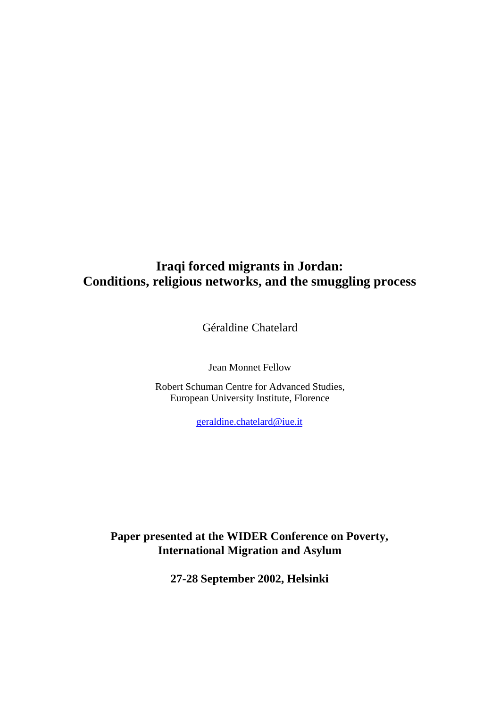# **Iraqi forced migrants in Jordan: Conditions, religious networks, and the smuggling process**

Géraldine Chatelard

Jean Monnet Fellow

Robert Schuman Centre for Advanced Studies, European University Institute, Florence

geraldine.chatelard@iue.it

**Paper presented at the WIDER Conference on Poverty, International Migration and Asylum**

**27-28 September 2002, Helsinki**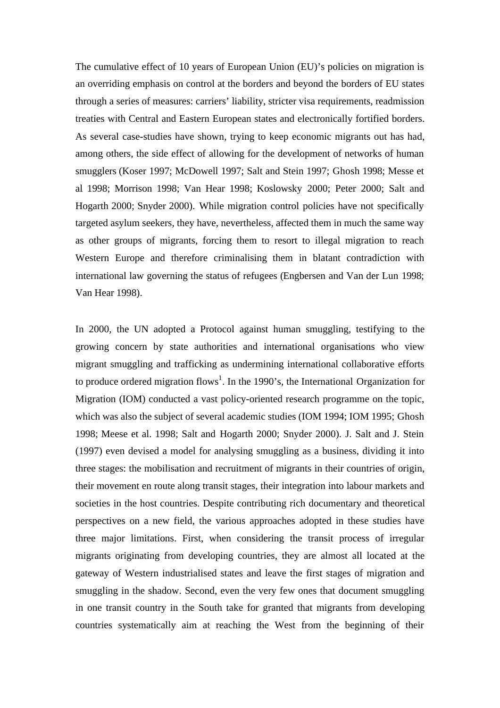The cumulative effect of 10 years of European Union (EU)'s policies on migration is an overriding emphasis on control at the borders and beyond the borders of EU states through a series of measures: carriers' liability, stricter visa requirements, readmission treaties with Central and Eastern European states and electronically fortified borders. As several case-studies have shown, trying to keep economic migrants out has had, among others, the side effect of allowing for the development of networks of human smugglers (Koser 1997; McDowell 1997; Salt and Stein 1997; Ghosh 1998; Messe et al 1998; Morrison 1998; Van Hear 1998; Koslowsky 2000; Peter 2000; Salt and Hogarth 2000; Snyder 2000). While migration control policies have not specifically targeted asylum seekers, they have, nevertheless, affected them in much the same way as other groups of migrants, forcing them to resort to illegal migration to reach Western Europe and therefore criminalising them in blatant contradiction with international law governing the status of refugees (Engbersen and Van der Lun 1998; Van Hear 1998).

In 2000, the UN adopted a Protocol against human smuggling, testifying to the growing concern by state authorities and international organisations who view migrant smuggling and trafficking as undermining international collaborative efforts to produce ordered migration flows<sup>1</sup>. In the 1990's, the International Organization for Migration (IOM) conducted a vast policy-oriented research programme on the topic, which was also the subject of several academic studies (IOM 1994; IOM 1995; Ghosh 1998; Meese et al. 1998; Salt and Hogarth 2000; Snyder 2000). J. Salt and J. Stein (1997) even devised a model for analysing smuggling as a business, dividing it into three stages: the mobilisation and recruitment of migrants in their countries of origin, their movement en route along transit stages, their integration into labour markets and societies in the host countries. Despite contributing rich documentary and theoretical perspectives on a new field, the various approaches adopted in these studies have three major limitations. First, when considering the transit process of irregular migrants originating from developing countries, they are almost all located at the gateway of Western industrialised states and leave the first stages of migration and smuggling in the shadow. Second, even the very few ones that document smuggling in one transit country in the South take for granted that migrants from developing countries systematically aim at reaching the West from the beginning of their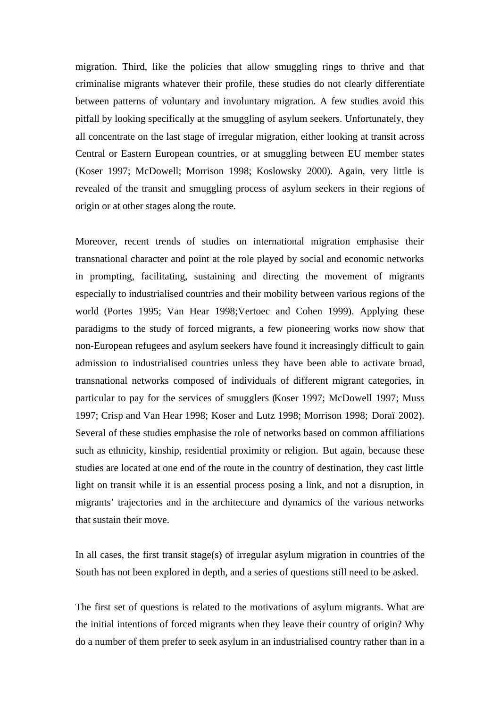migration. Third, like the policies that allow smuggling rings to thrive and that criminalise migrants whatever their profile, these studies do not clearly differentiate between patterns of voluntary and involuntary migration. A few studies avoid this pitfall by looking specifically at the smuggling of asylum seekers. Unfortunately, they all concentrate on the last stage of irregular migration, either looking at transit across Central or Eastern European countries, or at smuggling between EU member states (Koser 1997; McDowell; Morrison 1998; Koslowsky 2000). Again, very little is revealed of the transit and smuggling process of asylum seekers in their regions of origin or at other stages along the route.

Moreover, recent trends of studies on international migration emphasise their transnational character and point at the role played by social and economic networks in prompting, facilitating, sustaining and directing the movement of migrants especially to industrialised countries and their mobility between various regions of the world (Portes 1995; Van Hear 1998;Vertoec and Cohen 1999). Applying these paradigms to the study of forced migrants, a few pioneering works now show that non-European refugees and asylum seekers have found it increasingly difficult to gain admission to industrialised countries unless they have been able to activate broad, transnational networks composed of individuals of different migrant categories, in particular to pay for the services of smugglers (Koser 1997; McDowell 1997; Muss 1997; Crisp and Van Hear 1998; Koser and Lutz 1998; Morrison 1998; Doraï 2002). Several of these studies emphasise the role of networks based on common affiliations such as ethnicity, kinship, residential proximity or religion. But again, because these studies are located at one end of the route in the country of destination, they cast little light on transit while it is an essential process posing a link, and not a disruption, in migrants' trajectories and in the architecture and dynamics of the various networks that sustain their move.

In all cases, the first transit stage(s) of irregular asylum migration in countries of the South has not been explored in depth, and a series of questions still need to be asked.

The first set of questions is related to the motivations of asylum migrants. What are the initial intentions of forced migrants when they leave their country of origin? Why do a number of them prefer to seek asylum in an industrialised country rather than in a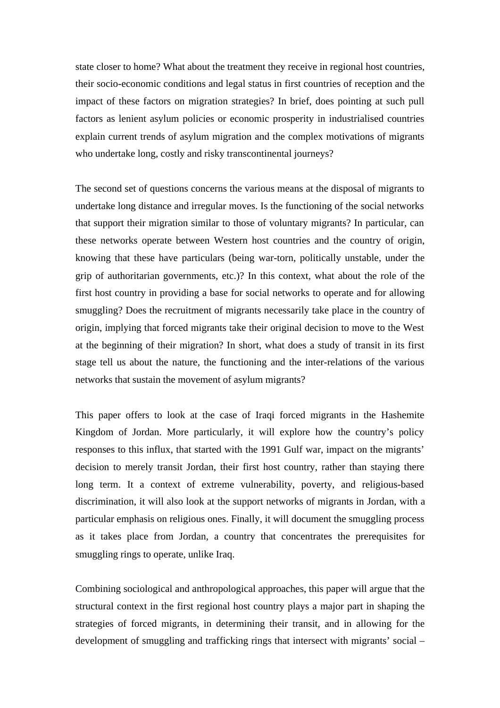state closer to home? What about the treatment they receive in regional host countries, their socio-economic conditions and legal status in first countries of reception and the impact of these factors on migration strategies? In brief, does pointing at such pull factors as lenient asylum policies or economic prosperity in industrialised countries explain current trends of asylum migration and the complex motivations of migrants who undertake long, costly and risky transcontinental journeys?

The second set of questions concerns the various means at the disposal of migrants to undertake long distance and irregular moves. Is the functioning of the social networks that support their migration similar to those of voluntary migrants? In particular, can these networks operate between Western host countries and the country of origin, knowing that these have particulars (being war-torn, politically unstable, under the grip of authoritarian governments, etc.)? In this context, what about the role of the first host country in providing a base for social networks to operate and for allowing smuggling? Does the recruitment of migrants necessarily take place in the country of origin, implying that forced migrants take their original decision to move to the West at the beginning of their migration? In short, what does a study of transit in its first stage tell us about the nature, the functioning and the inter-relations of the various networks that sustain the movement of asylum migrants?

This paper offers to look at the case of Iraqi forced migrants in the Hashemite Kingdom of Jordan. More particularly, it will explore how the country's policy responses to this influx, that started with the 1991 Gulf war, impact on the migrants' decision to merely transit Jordan, their first host country, rather than staying there long term. It a context of extreme vulnerability, poverty, and religious-based discrimination, it will also look at the support networks of migrants in Jordan, with a particular emphasis on religious ones. Finally, it will document the smuggling process as it takes place from Jordan, a country that concentrates the prerequisites for smuggling rings to operate, unlike Iraq.

Combining sociological and anthropological approaches, this paper will argue that the structural context in the first regional host country plays a major part in shaping the strategies of forced migrants, in determining their transit, and in allowing for the development of smuggling and trafficking rings that intersect with migrants' social –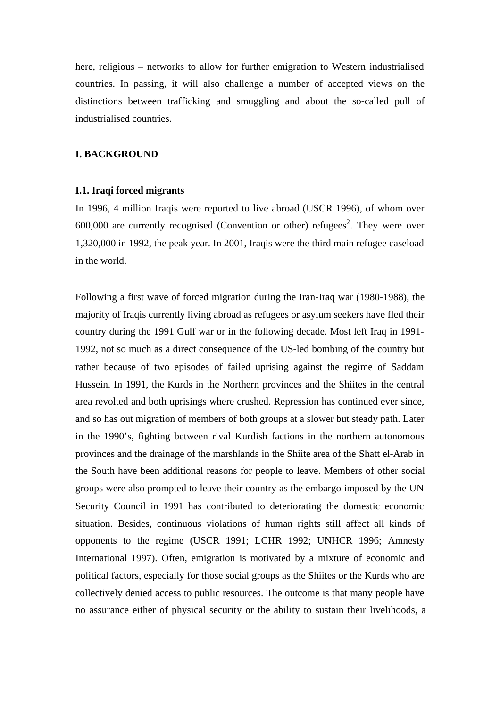here, religious – networks to allow for further emigration to Western industrialised countries. In passing, it will also challenge a number of accepted views on the distinctions between trafficking and smuggling and about the so-called pull of industrialised countries.

# **I. BACKGROUND**

#### **I.1. Iraqi forced migrants**

In 1996, 4 million Iraqis were reported to live abroad (USCR 1996), of whom over 600,000 are currently recognised (Convention or other) refugees<sup>2</sup>. They were over 1,320,000 in 1992, the peak year. In 2001, Iraqis were the third main refugee caseload in the world.

Following a first wave of forced migration during the Iran-Iraq war (1980-1988), the majority of Iraqis currently living abroad as refugees or asylum seekers have fled their country during the 1991 Gulf war or in the following decade. Most left Iraq in 1991- 1992, not so much as a direct consequence of the US-led bombing of the country but rather because of two episodes of failed uprising against the regime of Saddam Hussein. In 1991, the Kurds in the Northern provinces and the Shiites in the central area revolted and both uprisings where crushed. Repression has continued ever since, and so has out migration of members of both groups at a slower but steady path. Later in the 1990's, fighting between rival Kurdish factions in the northern autonomous provinces and the drainage of the marshlands in the Shiite area of the Shatt el-Arab in the South have been additional reasons for people to leave. Members of other social groups were also prompted to leave their country as the embargo imposed by the UN Security Council in 1991 has contributed to deteriorating the domestic economic situation. Besides, continuous violations of human rights still affect all kinds of opponents to the regime (USCR 1991; LCHR 1992; UNHCR 1996; Amnesty International 1997). Often, emigration is motivated by a mixture of economic and political factors, especially for those social groups as the Shiites or the Kurds who are collectively denied access to public resources. The outcome is that many people have no assurance either of physical security or the ability to sustain their livelihoods, a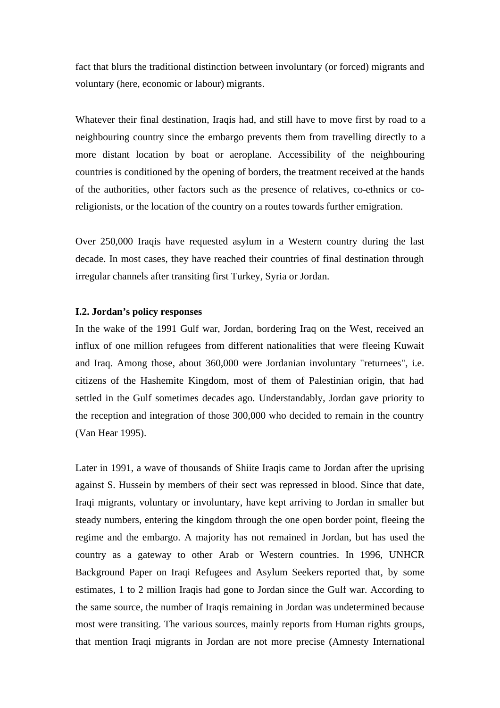fact that blurs the traditional distinction between involuntary (or forced) migrants and voluntary (here, economic or labour) migrants.

Whatever their final destination, Iraqis had, and still have to move first by road to a neighbouring country since the embargo prevents them from travelling directly to a more distant location by boat or aeroplane. Accessibility of the neighbouring countries is conditioned by the opening of borders, the treatment received at the hands of the authorities, other factors such as the presence of relatives, co-ethnics or coreligionists, or the location of the country on a routes towards further emigration.

Over 250,000 Iraqis have requested asylum in a Western country during the last decade. In most cases, they have reached their countries of final destination through irregular channels after transiting first Turkey, Syria or Jordan.

#### **I.2. Jordan's policy responses**

In the wake of the 1991 Gulf war, Jordan, bordering Iraq on the West, received an influx of one million refugees from different nationalities that were fleeing Kuwait and Iraq. Among those, about 360,000 were Jordanian involuntary "returnees", i.e. citizens of the Hashemite Kingdom, most of them of Palestinian origin, that had settled in the Gulf sometimes decades ago. Understandably, Jordan gave priority to the reception and integration of those 300,000 who decided to remain in the country (Van Hear 1995).

Later in 1991, a wave of thousands of Shiite Iraqis came to Jordan after the uprising against S. Hussein by members of their sect was repressed in blood. Since that date, Iraqi migrants, voluntary or involuntary, have kept arriving to Jordan in smaller but steady numbers, entering the kingdom through the one open border point, fleeing the regime and the embargo. A majority has not remained in Jordan, but has used the country as a gateway to other Arab or Western countries. In 1996, UNHCR Background Paper on Iraqi Refugees and Asylum Seekers reported that, by some estimates, 1 to 2 million Iraqis had gone to Jordan since the Gulf war. According to the same source, the number of Iraqis remaining in Jordan was undetermined because most were transiting. The various sources, mainly reports from Human rights groups, that mention Iraqi migrants in Jordan are not more precise (Amnesty International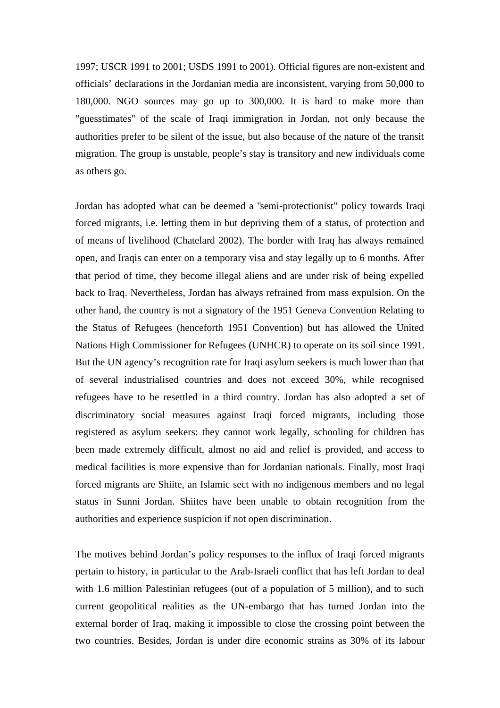1997; USCR 1991 to 2001; USDS 1991 to 2001). Official figures are non-existent and officials' declarations in the Jordanian media are inconsistent, varying from 50,000 to 180,000. NGO sources may go up to 300,000. It is hard to make more than "guesstimates" of the scale of Iraqi immigration in Jordan, not only because the authorities prefer to be silent of the issue, but also because of the nature of the transit migration. The group is unstable, people's stay is transitory and new individuals come as others go.

Jordan has adopted what can be deemed a "semi-protectionist" policy towards Iraqi forced migrants, i.e. letting them in but depriving them of a status, of protection and of means of livelihood (Chatelard 2002). The border with Iraq has always remained open, and Iraqis can enter on a temporary visa and stay legally up to 6 months. After that period of time, they become illegal aliens and are under risk of being expelled back to Iraq. Nevertheless, Jordan has always refrained from mass expulsion. On the other hand, the country is not a signatory of the 1951 Geneva Convention Relating to the Status of Refugees (henceforth 1951 Convention) but has allowed the United Nations High Commissioner for Refugees (UNHCR) to operate on its soil since 1991. But the UN agency's recognition rate for Iraqi asylum seekers is much lower than that of several industrialised countries and does not exceed 30%, while recognised refugees have to be resettled in a third country. Jordan has also adopted a set of discriminatory social measures against Iraqi forced migrants, including those registered as asylum seekers: they cannot work legally, schooling for children has been made extremely difficult, almost no aid and relief is provided, and access to medical facilities is more expensive than for Jordanian nationals. Finally, most Iraqi forced migrants are Shiite, an Islamic sect with no indigenous members and no legal status in Sunni Jordan. Shiites have been unable to obtain recognition from the authorities and experience suspicion if not open discrimination.

The motives behind Jordan's policy responses to the influx of Iraqi forced migrants pertain to history, in particular to the Arab-Israeli conflict that has left Jordan to deal with 1.6 million Palestinian refugees (out of a population of 5 million), and to such current geopolitical realities as the UN-embargo that has turned Jordan into the external border of Iraq, making it impossible to close the crossing point between the two countries. Besides, Jordan is under dire economic strains as 30% of its labour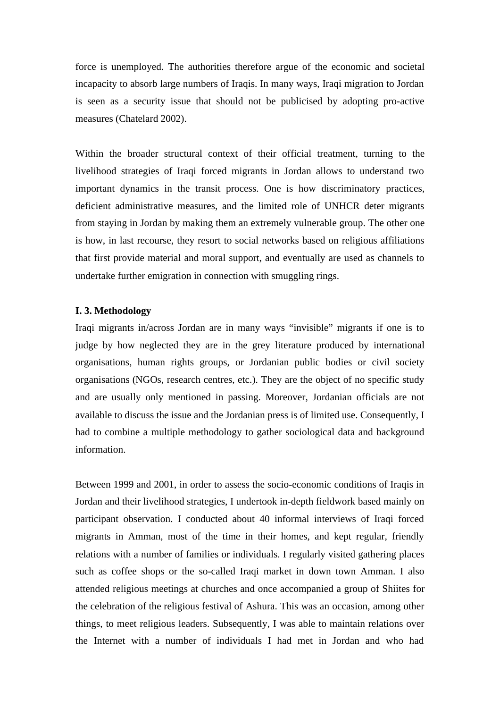force is unemployed. The authorities therefore argue of the economic and societal incapacity to absorb large numbers of Iraqis. In many ways, Iraqi migration to Jordan is seen as a security issue that should not be publicised by adopting pro-active measures (Chatelard 2002).

Within the broader structural context of their official treatment, turning to the livelihood strategies of Iraqi forced migrants in Jordan allows to understand two important dynamics in the transit process. One is how discriminatory practices, deficient administrative measures, and the limited role of UNHCR deter migrants from staying in Jordan by making them an extremely vulnerable group. The other one is how, in last recourse, they resort to social networks based on religious affiliations that first provide material and moral support, and eventually are used as channels to undertake further emigration in connection with smuggling rings.

# **I. 3. Methodology**

Iraqi migrants in/across Jordan are in many ways "invisible" migrants if one is to judge by how neglected they are in the grey literature produced by international organisations, human rights groups, or Jordanian public bodies or civil society organisations (NGOs, research centres, etc.). They are the object of no specific study and are usually only mentioned in passing. Moreover, Jordanian officials are not available to discuss the issue and the Jordanian press is of limited use. Consequently, I had to combine a multiple methodology to gather sociological data and background information.

Between 1999 and 2001, in order to assess the socio-economic conditions of Iraqis in Jordan and their livelihood strategies, I undertook in-depth fieldwork based mainly on participant observation. I conducted about 40 informal interviews of Iraqi forced migrants in Amman, most of the time in their homes, and kept regular, friendly relations with a number of families or individuals. I regularly visited gathering places such as coffee shops or the so-called Iraqi market in down town Amman. I also attended religious meetings at churches and once accompanied a group of Shiites for the celebration of the religious festival of Ashura. This was an occasion, among other things, to meet religious leaders. Subsequently, I was able to maintain relations over the Internet with a number of individuals I had met in Jordan and who had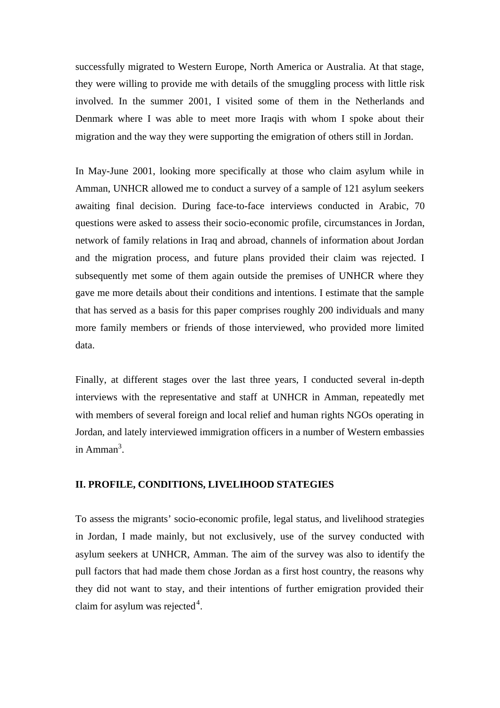successfully migrated to Western Europe, North America or Australia. At that stage, they were willing to provide me with details of the smuggling process with little risk involved. In the summer 2001, I visited some of them in the Netherlands and Denmark where I was able to meet more Iraqis with whom I spoke about their migration and the way they were supporting the emigration of others still in Jordan.

In May-June 2001, looking more specifically at those who claim asylum while in Amman, UNHCR allowed me to conduct a survey of a sample of 121 asylum seekers awaiting final decision. During face-to-face interviews conducted in Arabic, 70 questions were asked to assess their socio-economic profile, circumstances in Jordan, network of family relations in Iraq and abroad, channels of information about Jordan and the migration process, and future plans provided their claim was rejected. I subsequently met some of them again outside the premises of UNHCR where they gave me more details about their conditions and intentions. I estimate that the sample that has served as a basis for this paper comprises roughly 200 individuals and many more family members or friends of those interviewed, who provided more limited data.

Finally, at different stages over the last three years, I conducted several in-depth interviews with the representative and staff at UNHCR in Amman, repeatedly met with members of several foreign and local relief and human rights NGOs operating in Jordan, and lately interviewed immigration officers in a number of Western embassies in Amman<sup>3</sup>.

# **II. PROFILE, CONDITIONS, LIVELIHOOD STATEGIES**

To assess the migrants' socio-economic profile, legal status, and livelihood strategies in Jordan, I made mainly, but not exclusively, use of the survey conducted with asylum seekers at UNHCR, Amman. The aim of the survey was also to identify the pull factors that had made them chose Jordan as a first host country, the reasons why they did not want to stay, and their intentions of further emigration provided their claim for asylum was rejected<sup>4</sup>.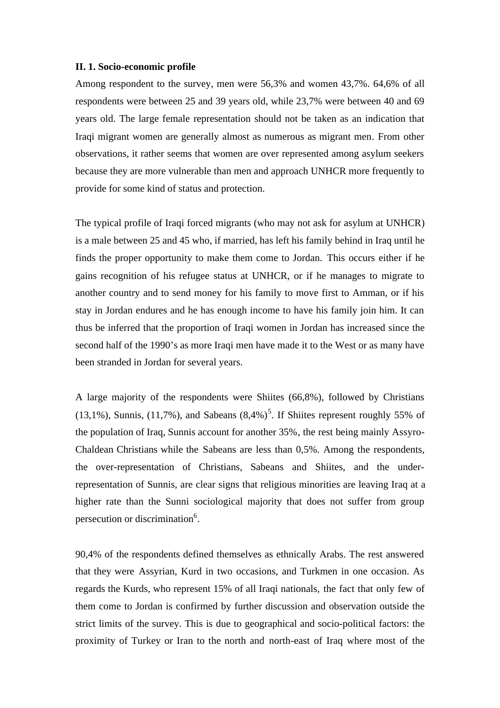#### **II. 1. Socio-economic profile**

Among respondent to the survey, men were 56,3% and women 43,7%. 64,6% of all respondents were between 25 and 39 years old, while 23,7% were between 40 and 69 years old. The large female representation should not be taken as an indication that Iraqi migrant women are generally almost as numerous as migrant men. From other observations, it rather seems that women are over represented among asylum seekers because they are more vulnerable than men and approach UNHCR more frequently to provide for some kind of status and protection.

The typical profile of Iraqi forced migrants (who may not ask for asylum at UNHCR) is a male between 25 and 45 who, if married, has left his family behind in Iraq until he finds the proper opportunity to make them come to Jordan. This occurs either if he gains recognition of his refugee status at UNHCR, or if he manages to migrate to another country and to send money for his family to move first to Amman, or if his stay in Jordan endures and he has enough income to have his family join him. It can thus be inferred that the proportion of Iraqi women in Jordan has increased since the second half of the 1990's as more Iraqi men have made it to the West or as many have been stranded in Jordan for several years.

A large majority of the respondents were Shiites (66,8%), followed by Christians  $(13,1\%)$ , Sunnis,  $(11,7\%)$ , and Sabeans  $(8,4\%)$ <sup>5</sup>. If Shiites represent roughly 55% of the population of Iraq, Sunnis account for another 35%, the rest being mainly Assyro-Chaldean Christians while the Sabeans are less than 0,5%. Among the respondents, the over-representation of Christians, Sabeans and Shiites, and the underrepresentation of Sunnis, are clear signs that religious minorities are leaving Iraq at a higher rate than the Sunni sociological majority that does not suffer from group persecution or discrimination<sup>6</sup>.

90,4% of the respondents defined themselves as ethnically Arabs. The rest answered that they were Assyrian, Kurd in two occasions, and Turkmen in one occasion. As regards the Kurds, who represent 15% of all Iraqi nationals, the fact that only few of them come to Jordan is confirmed by further discussion and observation outside the strict limits of the survey. This is due to geographical and socio-political factors: the proximity of Turkey or Iran to the north and north-east of Iraq where most of the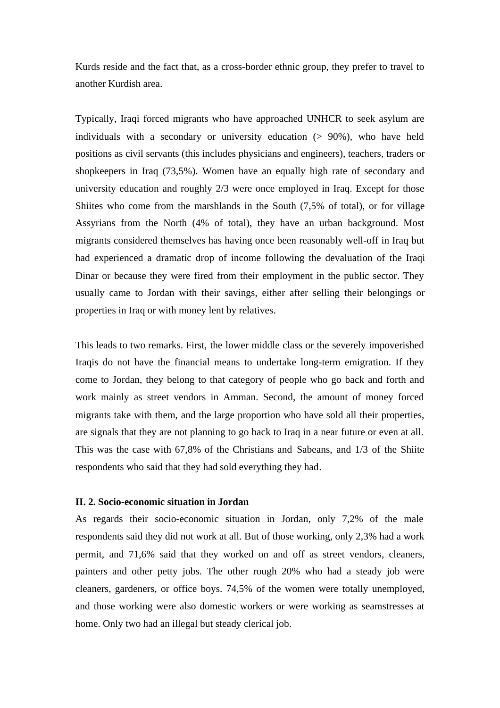Kurds reside and the fact that, as a cross-border ethnic group, they prefer to travel to another Kurdish area.

Typically, Iraqi forced migrants who have approached UNHCR to seek asylum are individuals with a secondary or university education  $(> 90\%)$ , who have held positions as civil servants (this includes physicians and engineers), teachers, traders or shopkeepers in Iraq (73,5%). Women have an equally high rate of secondary and university education and roughly 2/3 were once employed in Iraq. Except for those Shiites who come from the marshlands in the South (7,5% of total), or for village Assyrians from the North (4% of total), they have an urban background. Most migrants considered themselves has having once been reasonably well-off in Iraq but had experienced a dramatic drop of income following the devaluation of the Iraqi Dinar or because they were fired from their employment in the public sector. They usually came to Jordan with their savings, either after selling their belongings or properties in Iraq or with money lent by relatives.

This leads to two remarks. First, the lower middle class or the severely impoverished Iraqis do not have the financial means to undertake long-term emigration. If they come to Jordan, they belong to that category of people who go back and forth and work mainly as street vendors in Amman. Second, the amount of money forced migrants take with them, and the large proportion who have sold all their properties, are signals that they are not planning to go back to Iraq in a near future or even at all. This was the case with 67,8% of the Christians and Sabeans, and 1/3 of the Shiite respondents who said that they had sold everything they had.

#### **II. 2. Socio-economic situation in Jordan**

As regards their socio-economic situation in Jordan, only 7,2% of the male respondents said they did not work at all. But of those working, only 2,3% had a work permit, and 71,6% said that they worked on and off as street vendors, cleaners, painters and other petty jobs. The other rough 20% who had a steady job were cleaners, gardeners, or office boys. 74,5% of the women were totally unemployed, and those working were also domestic workers or were working as seamstresses at home. Only two had an illegal but steady clerical job.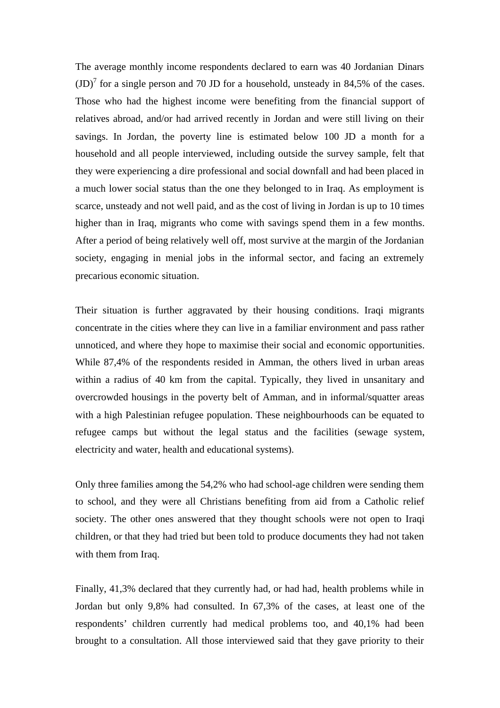The average monthly income respondents declared to earn was 40 Jordanian Dinars  $(JD)^7$  for a single person and 70 JD for a household, unsteady in 84,5% of the cases. Those who had the highest income were benefiting from the financial support of relatives abroad, and/or had arrived recently in Jordan and were still living on their savings. In Jordan, the poverty line is estimated below 100 JD a month for a household and all people interviewed, including outside the survey sample, felt that they were experiencing a dire professional and social downfall and had been placed in a much lower social status than the one they belonged to in Iraq. As employment is scarce, unsteady and not well paid, and as the cost of living in Jordan is up to 10 times higher than in Iraq, migrants who come with savings spend them in a few months. After a period of being relatively well off, most survive at the margin of the Jordanian society, engaging in menial jobs in the informal sector, and facing an extremely precarious economic situation.

Their situation is further aggravated by their housing conditions. Iraqi migrants concentrate in the cities where they can live in a familiar environment and pass rather unnoticed, and where they hope to maximise their social and economic opportunities. While 87,4% of the respondents resided in Amman, the others lived in urban areas within a radius of 40 km from the capital. Typically, they lived in unsanitary and overcrowded housings in the poverty belt of Amman, and in informal/squatter areas with a high Palestinian refugee population. These neighbourhoods can be equated to refugee camps but without the legal status and the facilities (sewage system, electricity and water, health and educational systems).

Only three families among the 54,2% who had school-age children were sending them to school, and they were all Christians benefiting from aid from a Catholic relief society. The other ones answered that they thought schools were not open to Iraqi children, or that they had tried but been told to produce documents they had not taken with them from Iraq.

Finally, 41,3% declared that they currently had, or had had, health problems while in Jordan but only 9,8% had consulted. In 67,3% of the cases, at least one of the respondents' children currently had medical problems too, and 40,1% had been brought to a consultation. All those interviewed said that they gave priority to their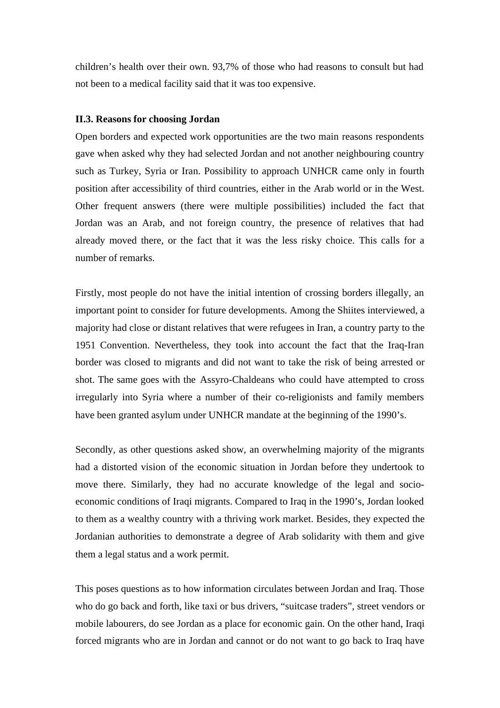children's health over their own. 93,7% of those who had reasons to consult but had not been to a medical facility said that it was too expensive.

#### **II.3. Reasons for choosing Jordan**

Open borders and expected work opportunities are the two main reasons respondents gave when asked why they had selected Jordan and not another neighbouring country such as Turkey, Syria or Iran. Possibility to approach UNHCR came only in fourth position after accessibility of third countries, either in the Arab world or in the West. Other frequent answers (there were multiple possibilities) included the fact that Jordan was an Arab, and not foreign country, the presence of relatives that had already moved there, or the fact that it was the less risky choice. This calls for a number of remarks.

Firstly, most people do not have the initial intention of crossing borders illegally, an important point to consider for future developments. Among the Shiites interviewed, a majority had close or distant relatives that were refugees in Iran, a country party to the 1951 Convention. Nevertheless, they took into account the fact that the Iraq-Iran border was closed to migrants and did not want to take the risk of being arrested or shot. The same goes with the Assyro-Chaldeans who could have attempted to cross irregularly into Syria where a number of their co-religionists and family members have been granted asylum under UNHCR mandate at the beginning of the 1990's.

Secondly, as other questions asked show, an overwhelming majority of the migrants had a distorted vision of the economic situation in Jordan before they undertook to move there. Similarly, they had no accurate knowledge of the legal and socioeconomic conditions of Iraqi migrants. Compared to Iraq in the 1990's, Jordan looked to them as a wealthy country with a thriving work market. Besides, they expected the Jordanian authorities to demonstrate a degree of Arab solidarity with them and give them a legal status and a work permit.

This poses questions as to how information circulates between Jordan and Iraq. Those who do go back and forth, like taxi or bus drivers, "suitcase traders", street vendors or mobile labourers, do see Jordan as a place for economic gain. On the other hand, Iraqi forced migrants who are in Jordan and cannot or do not want to go back to Iraq have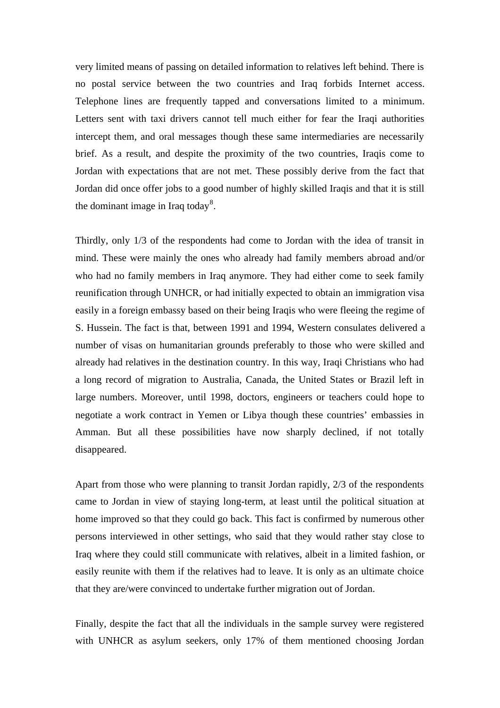very limited means of passing on detailed information to relatives left behind. There is no postal service between the two countries and Iraq forbids Internet access. Telephone lines are frequently tapped and conversations limited to a minimum. Letters sent with taxi drivers cannot tell much either for fear the Iraqi authorities intercept them, and oral messages though these same intermediaries are necessarily brief. As a result, and despite the proximity of the two countries, Iraqis come to Jordan with expectations that are not met. These possibly derive from the fact that Jordan did once offer jobs to a good number of highly skilled Iraqis and that it is still the dominant image in Iraq today $8$ .

Thirdly, only 1/3 of the respondents had come to Jordan with the idea of transit in mind. These were mainly the ones who already had family members abroad and/or who had no family members in Iraq anymore. They had either come to seek family reunification through UNHCR, or had initially expected to obtain an immigration visa easily in a foreign embassy based on their being Iraqis who were fleeing the regime of S. Hussein. The fact is that, between 1991 and 1994, Western consulates delivered a number of visas on humanitarian grounds preferably to those who were skilled and already had relatives in the destination country. In this way, Iraqi Christians who had a long record of migration to Australia, Canada, the United States or Brazil left in large numbers. Moreover, until 1998, doctors, engineers or teachers could hope to negotiate a work contract in Yemen or Libya though these countries' embassies in Amman. But all these possibilities have now sharply declined, if not totally disappeared.

Apart from those who were planning to transit Jordan rapidly, 2/3 of the respondents came to Jordan in view of staying long-term, at least until the political situation at home improved so that they could go back. This fact is confirmed by numerous other persons interviewed in other settings, who said that they would rather stay close to Iraq where they could still communicate with relatives, albeit in a limited fashion, or easily reunite with them if the relatives had to leave. It is only as an ultimate choice that they are/were convinced to undertake further migration out of Jordan.

Finally, despite the fact that all the individuals in the sample survey were registered with UNHCR as asylum seekers, only 17% of them mentioned choosing Jordan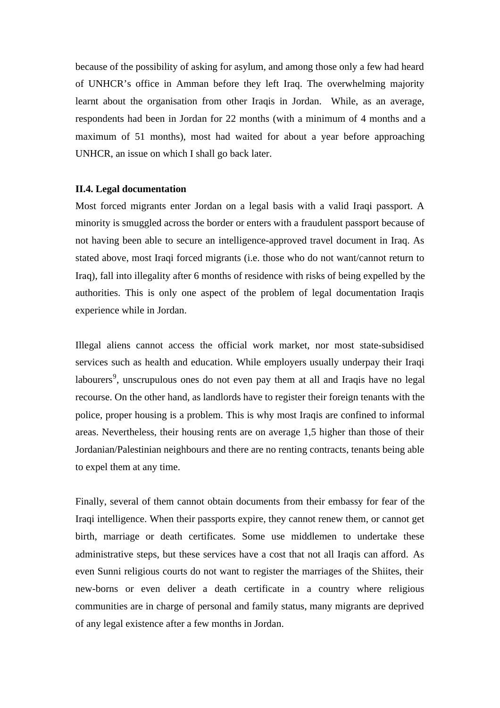because of the possibility of asking for asylum, and among those only a few had heard of UNHCR's office in Amman before they left Iraq. The overwhelming majority learnt about the organisation from other Iraqis in Jordan. While, as an average, respondents had been in Jordan for 22 months (with a minimum of 4 months and a maximum of 51 months), most had waited for about a year before approaching UNHCR, an issue on which I shall go back later.

#### **II.4. Legal documentation**

Most forced migrants enter Jordan on a legal basis with a valid Iraqi passport. A minority is smuggled across the border or enters with a fraudulent passport because of not having been able to secure an intelligence-approved travel document in Iraq. As stated above, most Iraqi forced migrants (i.e. those who do not want/cannot return to Iraq), fall into illegality after 6 months of residence with risks of being expelled by the authorities. This is only one aspect of the problem of legal documentation Iraqis experience while in Jordan.

Illegal aliens cannot access the official work market, nor most state-subsidised services such as health and education. While employers usually underpay their Iraqi labourers<sup>9</sup>, unscrupulous ones do not even pay them at all and Iraqis have no legal recourse. On the other hand, as landlords have to register their foreign tenants with the police, proper housing is a problem. This is why most Iraqis are confined to informal areas. Nevertheless, their housing rents are on average 1,5 higher than those of their Jordanian/Palestinian neighbours and there are no renting contracts, tenants being able to expel them at any time.

Finally, several of them cannot obtain documents from their embassy for fear of the Iraqi intelligence. When their passports expire, they cannot renew them, or cannot get birth, marriage or death certificates. Some use middlemen to undertake these administrative steps, but these services have a cost that not all Iraqis can afford. As even Sunni religious courts do not want to register the marriages of the Shiites, their new-borns or even deliver a death certificate in a country where religious communities are in charge of personal and family status, many migrants are deprived of any legal existence after a few months in Jordan.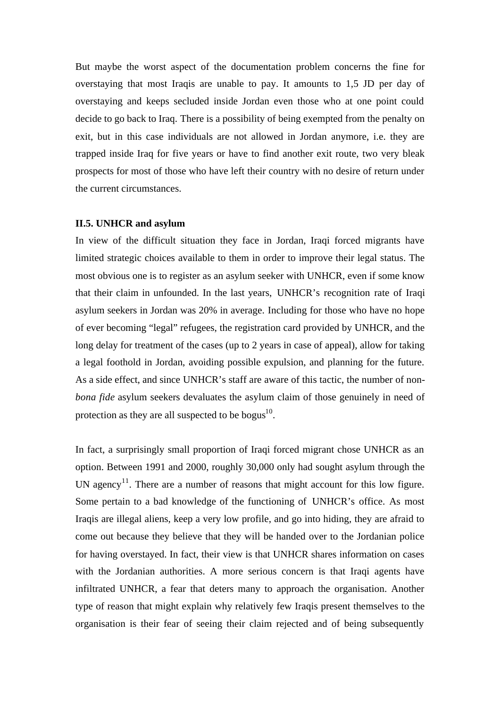But maybe the worst aspect of the documentation problem concerns the fine for overstaying that most Iraqis are unable to pay. It amounts to 1,5 JD per day of overstaying and keeps secluded inside Jordan even those who at one point could decide to go back to Iraq. There is a possibility of being exempted from the penalty on exit, but in this case individuals are not allowed in Jordan anymore, i.e. they are trapped inside Iraq for five years or have to find another exit route, two very bleak prospects for most of those who have left their country with no desire of return under the current circumstances.

#### **II.5. UNHCR and asylum**

In view of the difficult situation they face in Jordan, Iraqi forced migrants have limited strategic choices available to them in order to improve their legal status. The most obvious one is to register as an asylum seeker with UNHCR, even if some know that their claim in unfounded. In the last years, UNHCR's recognition rate of Iraqi asylum seekers in Jordan was 20% in average. Including for those who have no hope of ever becoming "legal" refugees, the registration card provided by UNHCR, and the long delay for treatment of the cases (up to 2 years in case of appeal), allow for taking a legal foothold in Jordan, avoiding possible expulsion, and planning for the future. As a side effect, and since UNHCR's staff are aware of this tactic, the number of non*bona fide* asylum seekers devaluates the asylum claim of those genuinely in need of protection as they are all suspected to be bogus $^{10}$ .

In fact, a surprisingly small proportion of Iraqi forced migrant chose UNHCR as an option. Between 1991 and 2000, roughly 30,000 only had sought asylum through the UN agency<sup>11</sup>. There are a number of reasons that might account for this low figure. Some pertain to a bad knowledge of the functioning of UNHCR's office. As most Iraqis are illegal aliens, keep a very low profile, and go into hiding, they are afraid to come out because they believe that they will be handed over to the Jordanian police for having overstayed. In fact, their view is that UNHCR shares information on cases with the Jordanian authorities. A more serious concern is that Iraqi agents have infiltrated UNHCR, a fear that deters many to approach the organisation. Another type of reason that might explain why relatively few Iraqis present themselves to the organisation is their fear of seeing their claim rejected and of being subsequently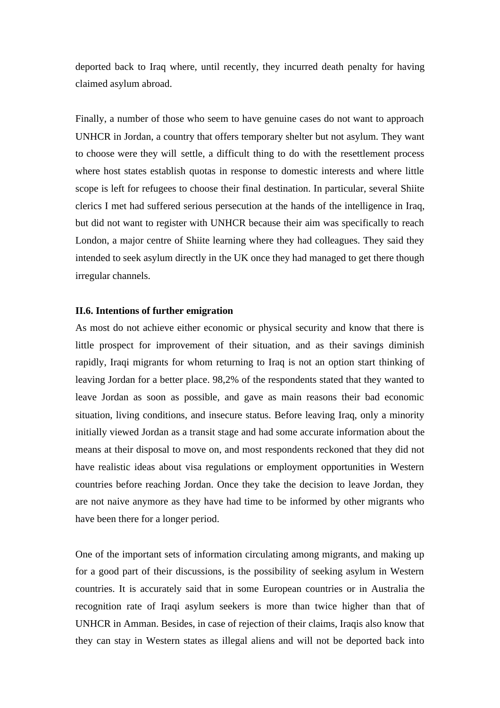deported back to Iraq where, until recently, they incurred death penalty for having claimed asylum abroad.

Finally, a number of those who seem to have genuine cases do not want to approach UNHCR in Jordan, a country that offers temporary shelter but not asylum. They want to choose were they will settle, a difficult thing to do with the resettlement process where host states establish quotas in response to domestic interests and where little scope is left for refugees to choose their final destination. In particular, several Shiite clerics I met had suffered serious persecution at the hands of the intelligence in Iraq, but did not want to register with UNHCR because their aim was specifically to reach London, a major centre of Shiite learning where they had colleagues. They said they intended to seek asylum directly in the UK once they had managed to get there though irregular channels.

# **II.6. Intentions of further emigration**

As most do not achieve either economic or physical security and know that there is little prospect for improvement of their situation, and as their savings diminish rapidly, Iraqi migrants for whom returning to Iraq is not an option start thinking of leaving Jordan for a better place. 98,2% of the respondents stated that they wanted to leave Jordan as soon as possible, and gave as main reasons their bad economic situation, living conditions, and insecure status. Before leaving Iraq, only a minority initially viewed Jordan as a transit stage and had some accurate information about the means at their disposal to move on, and most respondents reckoned that they did not have realistic ideas about visa regulations or employment opportunities in Western countries before reaching Jordan. Once they take the decision to leave Jordan, they are not naive anymore as they have had time to be informed by other migrants who have been there for a longer period.

One of the important sets of information circulating among migrants, and making up for a good part of their discussions, is the possibility of seeking asylum in Western countries. It is accurately said that in some European countries or in Australia the recognition rate of Iraqi asylum seekers is more than twice higher than that of UNHCR in Amman. Besides, in case of rejection of their claims, Iraqis also know that they can stay in Western states as illegal aliens and will not be deported back into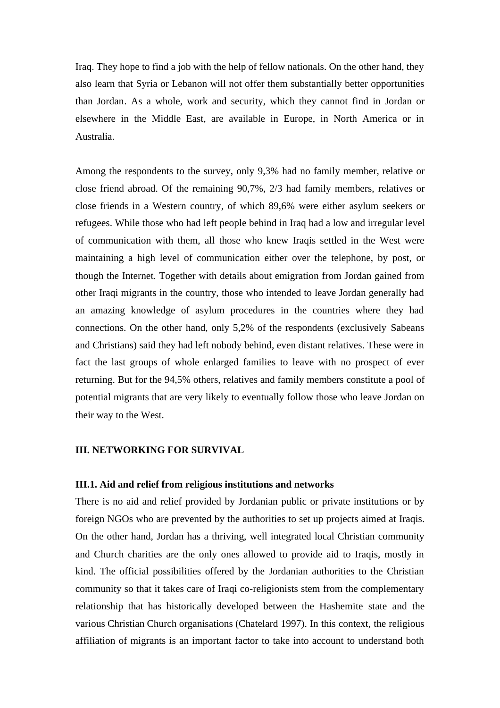Iraq. They hope to find a job with the help of fellow nationals. On the other hand, they also learn that Syria or Lebanon will not offer them substantially better opportunities than Jordan. As a whole, work and security, which they cannot find in Jordan or elsewhere in the Middle East, are available in Europe, in North America or in Australia.

Among the respondents to the survey, only 9,3% had no family member, relative or close friend abroad. Of the remaining 90,7%, 2/3 had family members, relatives or close friends in a Western country, of which 89,6% were either asylum seekers or refugees. While those who had left people behind in Iraq had a low and irregular level of communication with them, all those who knew Iraqis settled in the West were maintaining a high level of communication either over the telephone, by post, or though the Internet. Together with details about emigration from Jordan gained from other Iraqi migrants in the country, those who intended to leave Jordan generally had an amazing knowledge of asylum procedures in the countries where they had connections. On the other hand, only 5,2% of the respondents (exclusively Sabeans and Christians) said they had left nobody behind, even distant relatives. These were in fact the last groups of whole enlarged families to leave with no prospect of ever returning. But for the 94,5% others, relatives and family members constitute a pool of potential migrants that are very likely to eventually follow those who leave Jordan on their way to the West.

# **III. NETWORKING FOR SURVIVAL**

# **III.1. Aid and relief from religious institutions and networks**

There is no aid and relief provided by Jordanian public or private institutions or by foreign NGOs who are prevented by the authorities to set up projects aimed at Iraqis. On the other hand, Jordan has a thriving, well integrated local Christian community and Church charities are the only ones allowed to provide aid to Iraqis, mostly in kind. The official possibilities offered by the Jordanian authorities to the Christian community so that it takes care of Iraqi co-religionists stem from the complementary relationship that has historically developed between the Hashemite state and the various Christian Church organisations (Chatelard 1997). In this context, the religious affiliation of migrants is an important factor to take into account to understand both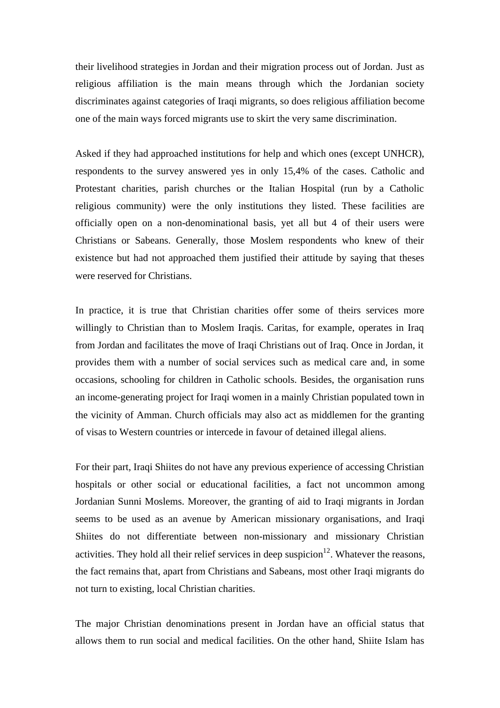their livelihood strategies in Jordan and their migration process out of Jordan. Just as religious affiliation is the main means through which the Jordanian society discriminates against categories of Iraqi migrants, so does religious affiliation become one of the main ways forced migrants use to skirt the very same discrimination.

Asked if they had approached institutions for help and which ones (except UNHCR), respondents to the survey answered yes in only 15,4% of the cases. Catholic and Protestant charities, parish churches or the Italian Hospital (run by a Catholic religious community) were the only institutions they listed. These facilities are officially open on a non-denominational basis, yet all but 4 of their users were Christians or Sabeans. Generally, those Moslem respondents who knew of their existence but had not approached them justified their attitude by saying that theses were reserved for Christians.

In practice, it is true that Christian charities offer some of theirs services more willingly to Christian than to Moslem Iraqis. Caritas, for example, operates in Iraq from Jordan and facilitates the move of Iraqi Christians out of Iraq. Once in Jordan, it provides them with a number of social services such as medical care and, in some occasions, schooling for children in Catholic schools. Besides, the organisation runs an income-generating project for Iraqi women in a mainly Christian populated town in the vicinity of Amman. Church officials may also act as middlemen for the granting of visas to Western countries or intercede in favour of detained illegal aliens.

For their part, Iraqi Shiites do not have any previous experience of accessing Christian hospitals or other social or educational facilities, a fact not uncommon among Jordanian Sunni Moslems. Moreover, the granting of aid to Iraqi migrants in Jordan seems to be used as an avenue by American missionary organisations, and Iraqi Shiites do not differentiate between non-missionary and missionary Christian activities. They hold all their relief services in deep suspicion<sup>12</sup>. Whatever the reasons, the fact remains that, apart from Christians and Sabeans, most other Iraqi migrants do not turn to existing, local Christian charities.

The major Christian denominations present in Jordan have an official status that allows them to run social and medical facilities. On the other hand, Shiite Islam has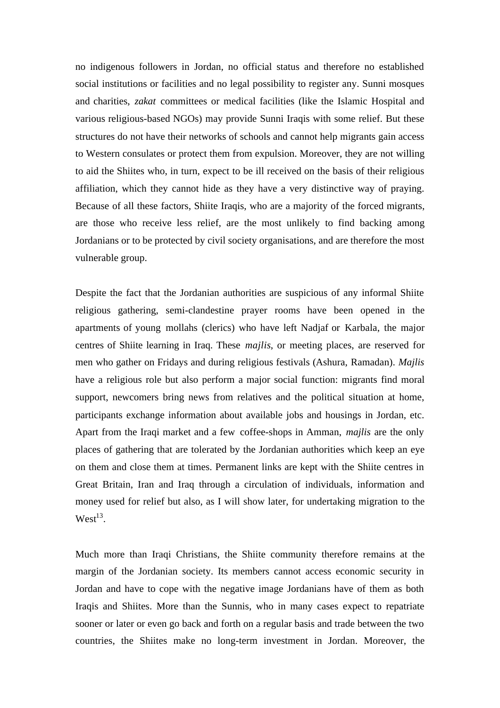no indigenous followers in Jordan, no official status and therefore no established social institutions or facilities and no legal possibility to register any. Sunni mosques and charities, *zakat* committees or medical facilities (like the Islamic Hospital and various religious-based NGOs) may provide Sunni Iraqis with some relief. But these structures do not have their networks of schools and cannot help migrants gain access to Western consulates or protect them from expulsion. Moreover, they are not willing to aid the Shiites who, in turn, expect to be ill received on the basis of their religious affiliation, which they cannot hide as they have a very distinctive way of praying. Because of all these factors, Shiite Iraqis, who are a majority of the forced migrants, are those who receive less relief, are the most unlikely to find backing among Jordanians or to be protected by civil society organisations, and are therefore the most vulnerable group.

Despite the fact that the Jordanian authorities are suspicious of any informal Shiite religious gathering, semi-clandestine prayer rooms have been opened in the apartments of young mollahs (clerics) who have left Nadjaf or Karbala, the major centres of Shiite learning in Iraq. These *majlis*, or meeting places, are reserved for men who gather on Fridays and during religious festivals (Ashura, Ramadan). *Majlis* have a religious role but also perform a major social function: migrants find moral support, newcomers bring news from relatives and the political situation at home, participants exchange information about available jobs and housings in Jordan, etc. Apart from the Iraqi market and a few coffee-shops in Amman, *majlis* are the only places of gathering that are tolerated by the Jordanian authorities which keep an eye on them and close them at times. Permanent links are kept with the Shiite centres in Great Britain, Iran and Iraq through a circulation of individuals, information and money used for relief but also, as I will show later, for undertaking migration to the  $West<sup>13</sup>$ .

Much more than Iraqi Christians, the Shiite community therefore remains at the margin of the Jordanian society. Its members cannot access economic security in Jordan and have to cope with the negative image Jordanians have of them as both Iraqis and Shiites. More than the Sunnis, who in many cases expect to repatriate sooner or later or even go back and forth on a regular basis and trade between the two countries, the Shiites make no long-term investment in Jordan. Moreover, the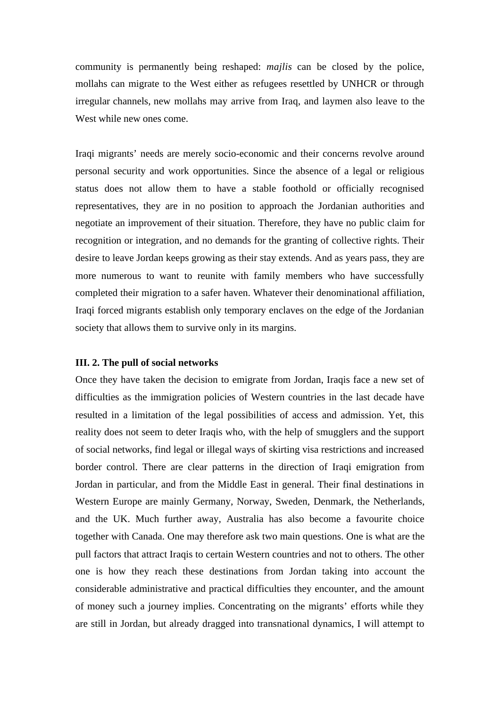community is permanently being reshaped: *majlis* can be closed by the police, mollahs can migrate to the West either as refugees resettled by UNHCR or through irregular channels, new mollahs may arrive from Iraq, and laymen also leave to the West while new ones come.

Iraqi migrants' needs are merely socio-economic and their concerns revolve around personal security and work opportunities. Since the absence of a legal or religious status does not allow them to have a stable foothold or officially recognised representatives, they are in no position to approach the Jordanian authorities and negotiate an improvement of their situation. Therefore, they have no public claim for recognition or integration, and no demands for the granting of collective rights. Their desire to leave Jordan keeps growing as their stay extends. And as years pass, they are more numerous to want to reunite with family members who have successfully completed their migration to a safer haven. Whatever their denominational affiliation, Iraqi forced migrants establish only temporary enclaves on the edge of the Jordanian society that allows them to survive only in its margins.

# **III. 2. The pull of social networks**

Once they have taken the decision to emigrate from Jordan, Iraqis face a new set of difficulties as the immigration policies of Western countries in the last decade have resulted in a limitation of the legal possibilities of access and admission. Yet, this reality does not seem to deter Iraqis who, with the help of smugglers and the support of social networks, find legal or illegal ways of skirting visa restrictions and increased border control. There are clear patterns in the direction of Iraqi emigration from Jordan in particular, and from the Middle East in general. Their final destinations in Western Europe are mainly Germany, Norway, Sweden, Denmark, the Netherlands, and the UK. Much further away, Australia has also become a favourite choice together with Canada. One may therefore ask two main questions. One is what are the pull factors that attract Iraqis to certain Western countries and not to others. The other one is how they reach these destinations from Jordan taking into account the considerable administrative and practical difficulties they encounter, and the amount of money such a journey implies. Concentrating on the migrants' efforts while they are still in Jordan, but already dragged into transnational dynamics, I will attempt to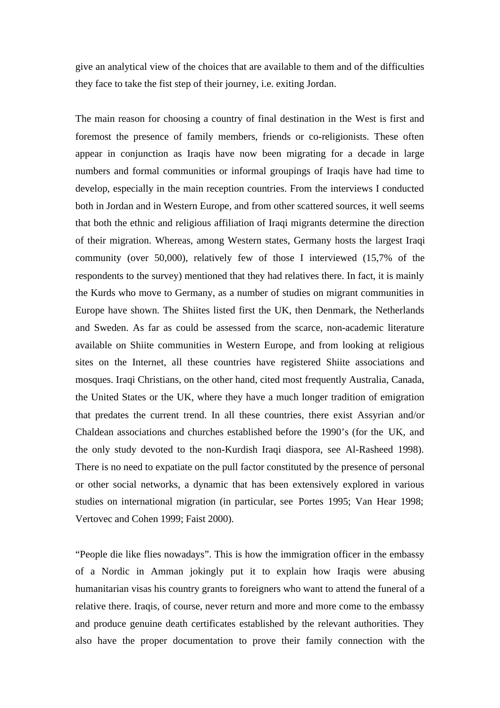give an analytical view of the choices that are available to them and of the difficulties they face to take the fist step of their journey, i.e. exiting Jordan.

The main reason for choosing a country of final destination in the West is first and foremost the presence of family members, friends or co-religionists. These often appear in conjunction as Iraqis have now been migrating for a decade in large numbers and formal communities or informal groupings of Iraqis have had time to develop, especially in the main reception countries. From the interviews I conducted both in Jordan and in Western Europe, and from other scattered sources, it well seems that both the ethnic and religious affiliation of Iraqi migrants determine the direction of their migration. Whereas, among Western states, Germany hosts the largest Iraqi community (over 50,000), relatively few of those I interviewed (15,7% of the respondents to the survey) mentioned that they had relatives there. In fact, it is mainly the Kurds who move to Germany, as a number of studies on migrant communities in Europe have shown. The Shiites listed first the UK, then Denmark, the Netherlands and Sweden. As far as could be assessed from the scarce, non-academic literature available on Shiite communities in Western Europe, and from looking at religious sites on the Internet, all these countries have registered Shiite associations and mosques. Iraqi Christians, on the other hand, cited most frequently Australia, Canada, the United States or the UK, where they have a much longer tradition of emigration that predates the current trend. In all these countries, there exist Assyrian and/or Chaldean associations and churches established before the 1990's (for the UK, and the only study devoted to the non-Kurdish Iraqi diaspora, see Al-Rasheed 1998). There is no need to expatiate on the pull factor constituted by the presence of personal or other social networks, a dynamic that has been extensively explored in various studies on international migration (in particular, see Portes 1995; Van Hear 1998; Vertovec and Cohen 1999; Faist 2000).

"People die like flies nowadays". This is how the immigration officer in the embassy of a Nordic in Amman jokingly put it to explain how Iraqis were abusing humanitarian visas his country grants to foreigners who want to attend the funeral of a relative there. Iraqis, of course, never return and more and more come to the embassy and produce genuine death certificates established by the relevant authorities. They also have the proper documentation to prove their family connection with the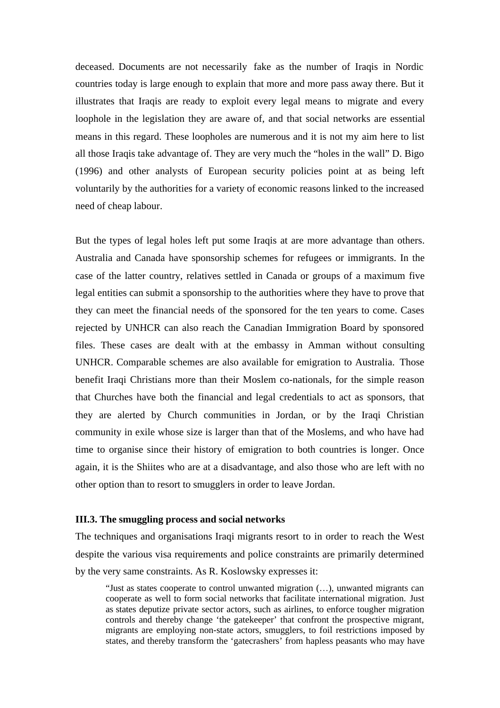deceased. Documents are not necessarily fake as the number of Iraqis in Nordic countries today is large enough to explain that more and more pass away there. But it illustrates that Iraqis are ready to exploit every legal means to migrate and every loophole in the legislation they are aware of, and that social networks are essential means in this regard. These loopholes are numerous and it is not my aim here to list all those Iraqis take advantage of. They are very much the "holes in the wall" D. Bigo (1996) and other analysts of European security policies point at as being left voluntarily by the authorities for a variety of economic reasons linked to the increased need of cheap labour.

But the types of legal holes left put some Iraqis at are more advantage than others. Australia and Canada have sponsorship schemes for refugees or immigrants. In the case of the latter country, relatives settled in Canada or groups of a maximum five legal entities can submit a sponsorship to the authorities where they have to prove that they can meet the financial needs of the sponsored for the ten years to come. Cases rejected by UNHCR can also reach the Canadian Immigration Board by sponsored files. These cases are dealt with at the embassy in Amman without consulting UNHCR. Comparable schemes are also available for emigration to Australia. Those benefit Iraqi Christians more than their Moslem co-nationals, for the simple reason that Churches have both the financial and legal credentials to act as sponsors, that they are alerted by Church communities in Jordan, or by the Iraqi Christian community in exile whose size is larger than that of the Moslems, and who have had time to organise since their history of emigration to both countries is longer. Once again, it is the Shiites who are at a disadvantage, and also those who are left with no other option than to resort to smugglers in order to leave Jordan.

#### **III.3. The smuggling process and social networks**

The techniques and organisations Iraqi migrants resort to in order to reach the West despite the various visa requirements and police constraints are primarily determined by the very same constraints. As R. Koslowsky expresses it:

"Just as states cooperate to control unwanted migration (…), unwanted migrants can cooperate as well to form social networks that facilitate international migration. Just as states deputize private sector actors, such as airlines, to enforce tougher migration controls and thereby change 'the gatekeeper' that confront the prospective migrant, migrants are employing non-state actors, smugglers, to foil restrictions imposed by states, and thereby transform the 'gatecrashers' from hapless peasants who may have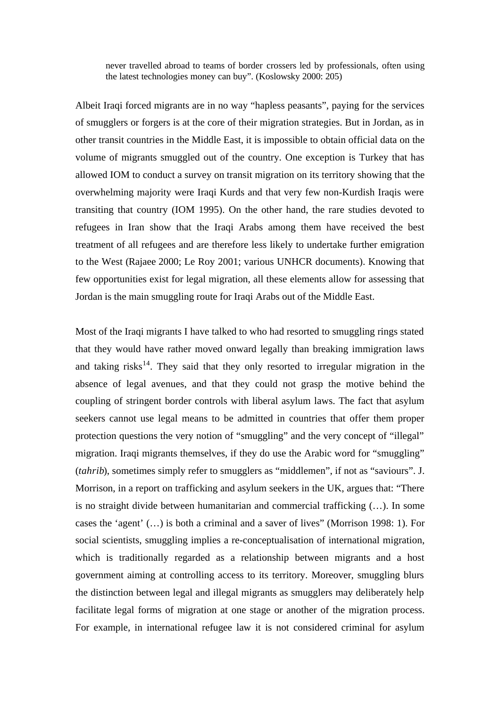never travelled abroad to teams of border crossers led by professionals, often using the latest technologies money can buy". (Koslowsky 2000: 205)

Albeit Iraqi forced migrants are in no way "hapless peasants", paying for the services of smugglers or forgers is at the core of their migration strategies. But in Jordan, as in other transit countries in the Middle East, it is impossible to obtain official data on the volume of migrants smuggled out of the country. One exception is Turkey that has allowed IOM to conduct a survey on transit migration on its territory showing that the overwhelming majority were Iraqi Kurds and that very few non-Kurdish Iraqis were transiting that country (IOM 1995). On the other hand, the rare studies devoted to refugees in Iran show that the Iraqi Arabs among them have received the best treatment of all refugees and are therefore less likely to undertake further emigration to the West (Rajaee 2000; Le Roy 2001; various UNHCR documents). Knowing that few opportunities exist for legal migration, all these elements allow for assessing that Jordan is the main smuggling route for Iraqi Arabs out of the Middle East.

Most of the Iraqi migrants I have talked to who had resorted to smuggling rings stated that they would have rather moved onward legally than breaking immigration laws and taking risks<sup>14</sup>. They said that they only resorted to irregular migration in the absence of legal avenues, and that they could not grasp the motive behind the coupling of stringent border controls with liberal asylum laws. The fact that asylum seekers cannot use legal means to be admitted in countries that offer them proper protection questions the very notion of "smuggling" and the very concept of "illegal" migration. Iraqi migrants themselves, if they do use the Arabic word for "smuggling" (*tahrib*), sometimes simply refer to smugglers as "middlemen", if not as "saviours". J. Morrison, in a report on trafficking and asylum seekers in the UK, argues that: "There is no straight divide between humanitarian and commercial trafficking (…). In some cases the 'agent' (…) is both a criminal and a saver of lives" (Morrison 1998: 1). For social scientists, smuggling implies a re-conceptualisation of international migration, which is traditionally regarded as a relationship between migrants and a host government aiming at controlling access to its territory. Moreover, smuggling blurs the distinction between legal and illegal migrants as smugglers may deliberately help facilitate legal forms of migration at one stage or another of the migration process. For example, in international refugee law it is not considered criminal for asylum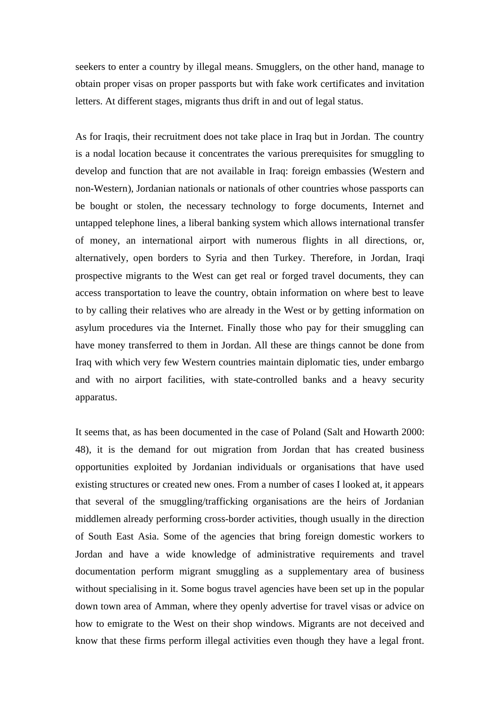seekers to enter a country by illegal means. Smugglers, on the other hand, manage to obtain proper visas on proper passports but with fake work certificates and invitation letters. At different stages, migrants thus drift in and out of legal status.

As for Iraqis, their recruitment does not take place in Iraq but in Jordan. The country is a nodal location because it concentrates the various prerequisites for smuggling to develop and function that are not available in Iraq: foreign embassies (Western and non-Western), Jordanian nationals or nationals of other countries whose passports can be bought or stolen, the necessary technology to forge documents, Internet and untapped telephone lines, a liberal banking system which allows international transfer of money, an international airport with numerous flights in all directions, or, alternatively, open borders to Syria and then Turkey. Therefore, in Jordan, Iraqi prospective migrants to the West can get real or forged travel documents, they can access transportation to leave the country, obtain information on where best to leave to by calling their relatives who are already in the West or by getting information on asylum procedures via the Internet. Finally those who pay for their smuggling can have money transferred to them in Jordan. All these are things cannot be done from Iraq with which very few Western countries maintain diplomatic ties, under embargo and with no airport facilities, with state-controlled banks and a heavy security apparatus.

It seems that, as has been documented in the case of Poland (Salt and Howarth 2000: 48), it is the demand for out migration from Jordan that has created business opportunities exploited by Jordanian individuals or organisations that have used existing structures or created new ones. From a number of cases I looked at, it appears that several of the smuggling/trafficking organisations are the heirs of Jordanian middlemen already performing cross-border activities, though usually in the direction of South East Asia. Some of the agencies that bring foreign domestic workers to Jordan and have a wide knowledge of administrative requirements and travel documentation perform migrant smuggling as a supplementary area of business without specialising in it. Some bogus travel agencies have been set up in the popular down town area of Amman, where they openly advertise for travel visas or advice on how to emigrate to the West on their shop windows. Migrants are not deceived and know that these firms perform illegal activities even though they have a legal front.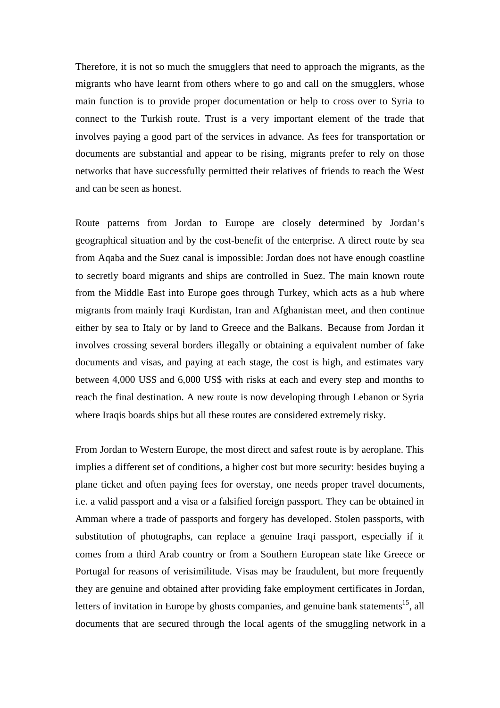Therefore, it is not so much the smugglers that need to approach the migrants, as the migrants who have learnt from others where to go and call on the smugglers, whose main function is to provide proper documentation or help to cross over to Syria to connect to the Turkish route. Trust is a very important element of the trade that involves paying a good part of the services in advance. As fees for transportation or documents are substantial and appear to be rising, migrants prefer to rely on those networks that have successfully permitted their relatives of friends to reach the West and can be seen as honest.

Route patterns from Jordan to Europe are closely determined by Jordan's geographical situation and by the cost-benefit of the enterprise. A direct route by sea from Aqaba and the Suez canal is impossible: Jordan does not have enough coastline to secretly board migrants and ships are controlled in Suez. The main known route from the Middle East into Europe goes through Turkey, which acts as a hub where migrants from mainly Iraqi Kurdistan, Iran and Afghanistan meet, and then continue either by sea to Italy or by land to Greece and the Balkans. Because from Jordan it involves crossing several borders illegally or obtaining a equivalent number of fake documents and visas, and paying at each stage, the cost is high, and estimates vary between 4,000 US\$ and 6,000 US\$ with risks at each and every step and months to reach the final destination. A new route is now developing through Lebanon or Syria where Iraqis boards ships but all these routes are considered extremely risky.

From Jordan to Western Europe, the most direct and safest route is by aeroplane. This implies a different set of conditions, a higher cost but more security: besides buying a plane ticket and often paying fees for overstay, one needs proper travel documents, i.e. a valid passport and a visa or a falsified foreign passport. They can be obtained in Amman where a trade of passports and forgery has developed. Stolen passports, with substitution of photographs, can replace a genuine Iraqi passport, especially if it comes from a third Arab country or from a Southern European state like Greece or Portugal for reasons of verisimilitude. Visas may be fraudulent, but more frequently they are genuine and obtained after providing fake employment certificates in Jordan, letters of invitation in Europe by ghosts companies, and genuine bank statements<sup>15</sup>, all documents that are secured through the local agents of the smuggling network in a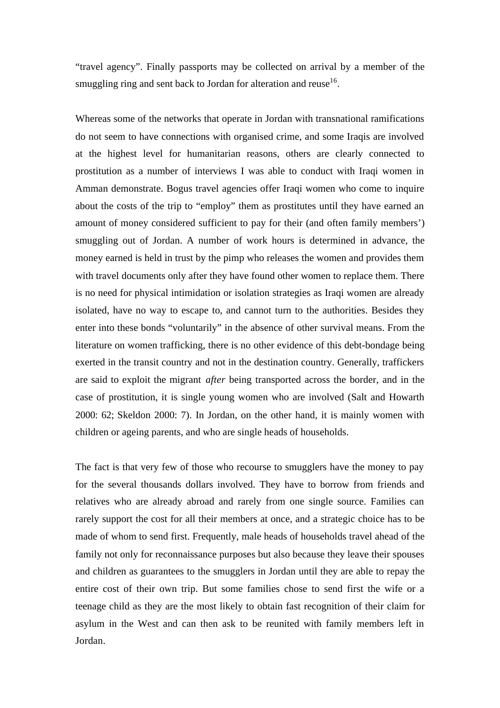"travel agency". Finally passports may be collected on arrival by a member of the smuggling ring and sent back to Jordan for alteration and reuse<sup>16</sup>.

Whereas some of the networks that operate in Jordan with transnational ramifications do not seem to have connections with organised crime, and some Iraqis are involved at the highest level for humanitarian reasons, others are clearly connected to prostitution as a number of interviews I was able to conduct with Iraqi women in Amman demonstrate. Bogus travel agencies offer Iraqi women who come to inquire about the costs of the trip to "employ" them as prostitutes until they have earned an amount of money considered sufficient to pay for their (and often family members') smuggling out of Jordan. A number of work hours is determined in advance, the money earned is held in trust by the pimp who releases the women and provides them with travel documents only after they have found other women to replace them. There is no need for physical intimidation or isolation strategies as Iraqi women are already isolated, have no way to escape to, and cannot turn to the authorities. Besides they enter into these bonds "voluntarily" in the absence of other survival means. From the literature on women trafficking, there is no other evidence of this debt-bondage being exerted in the transit country and not in the destination country. Generally, traffickers are said to exploit the migrant *after* being transported across the border, and in the case of prostitution, it is single young women who are involved (Salt and Howarth 2000: 62; Skeldon 2000: 7). In Jordan, on the other hand, it is mainly women with children or ageing parents, and who are single heads of households.

The fact is that very few of those who recourse to smugglers have the money to pay for the several thousands dollars involved. They have to borrow from friends and relatives who are already abroad and rarely from one single source. Families can rarely support the cost for all their members at once, and a strategic choice has to be made of whom to send first. Frequently, male heads of households travel ahead of the family not only for reconnaissance purposes but also because they leave their spouses and children as guarantees to the smugglers in Jordan until they are able to repay the entire cost of their own trip. But some families chose to send first the wife or a teenage child as they are the most likely to obtain fast recognition of their claim for asylum in the West and can then ask to be reunited with family members left in Jordan.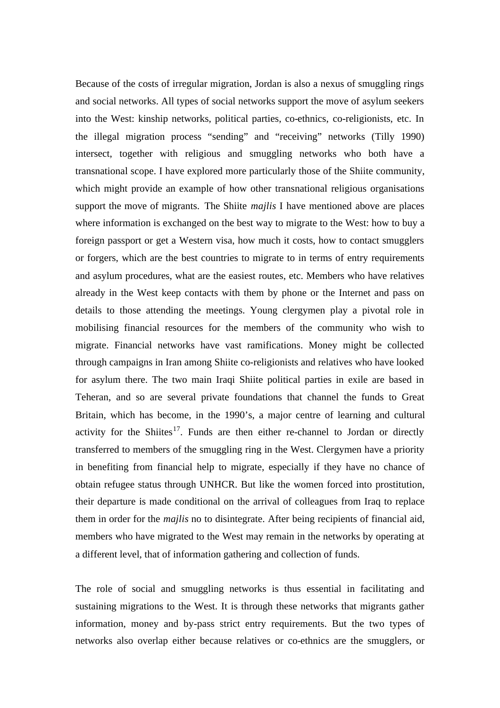Because of the costs of irregular migration, Jordan is also a nexus of smuggling rings and social networks. All types of social networks support the move of asylum seekers into the West: kinship networks, political parties, co-ethnics, co-religionists, etc. In the illegal migration process "sending" and "receiving" networks (Tilly 1990) intersect, together with religious and smuggling networks who both have a transnational scope. I have explored more particularly those of the Shiite community, which might provide an example of how other transnational religious organisations support the move of migrants. The Shiite *majlis* I have mentioned above are places where information is exchanged on the best way to migrate to the West: how to buy a foreign passport or get a Western visa, how much it costs, how to contact smugglers or forgers, which are the best countries to migrate to in terms of entry requirements and asylum procedures, what are the easiest routes, etc. Members who have relatives already in the West keep contacts with them by phone or the Internet and pass on details to those attending the meetings. Young clergymen play a pivotal role in mobilising financial resources for the members of the community who wish to migrate. Financial networks have vast ramifications. Money might be collected through campaigns in Iran among Shiite co-religionists and relatives who have looked for asylum there. The two main Iraqi Shiite political parties in exile are based in Teheran, and so are several private foundations that channel the funds to Great Britain, which has become, in the 1990's, a major centre of learning and cultural activity for the Shiites<sup>17</sup>. Funds are then either re-channel to Jordan or directly transferred to members of the smuggling ring in the West. Clergymen have a priority in benefiting from financial help to migrate, especially if they have no chance of obtain refugee status through UNHCR. But like the women forced into prostitution, their departure is made conditional on the arrival of colleagues from Iraq to replace them in order for the *majlis* no to disintegrate. After being recipients of financial aid, members who have migrated to the West may remain in the networks by operating at a different level, that of information gathering and collection of funds.

The role of social and smuggling networks is thus essential in facilitating and sustaining migrations to the West. It is through these networks that migrants gather information, money and by-pass strict entry requirements. But the two types of networks also overlap either because relatives or co-ethnics are the smugglers, or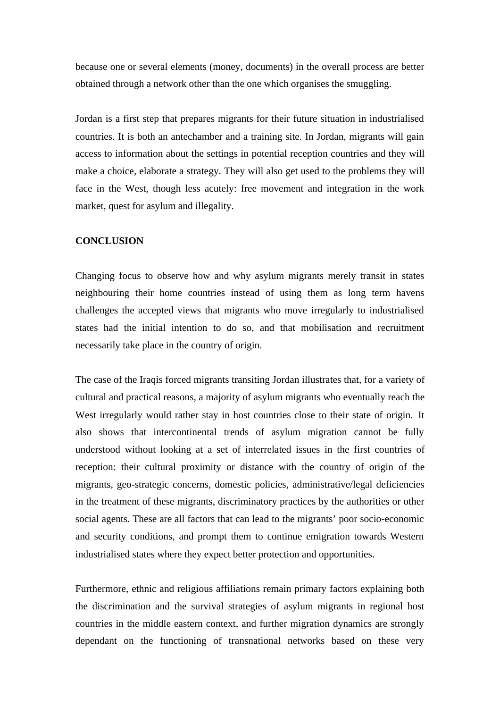because one or several elements (money, documents) in the overall process are better obtained through a network other than the one which organises the smuggling.

Jordan is a first step that prepares migrants for their future situation in industrialised countries. It is both an antechamber and a training site. In Jordan, migrants will gain access to information about the settings in potential reception countries and they will make a choice, elaborate a strategy. They will also get used to the problems they will face in the West, though less acutely: free movement and integration in the work market, quest for asylum and illegality.

# **CONCLUSION**

Changing focus to observe how and why asylum migrants merely transit in states neighbouring their home countries instead of using them as long term havens challenges the accepted views that migrants who move irregularly to industrialised states had the initial intention to do so, and that mobilisation and recruitment necessarily take place in the country of origin.

The case of the Iraqis forced migrants transiting Jordan illustrates that, for a variety of cultural and practical reasons, a majority of asylum migrants who eventually reach the West irregularly would rather stay in host countries close to their state of origin. It also shows that intercontinental trends of asylum migration cannot be fully understood without looking at a set of interrelated issues in the first countries of reception: their cultural proximity or distance with the country of origin of the migrants, geo-strategic concerns, domestic policies, administrative/legal deficiencies in the treatment of these migrants, discriminatory practices by the authorities or other social agents. These are all factors that can lead to the migrants' poor socio-economic and security conditions, and prompt them to continue emigration towards Western industrialised states where they expect better protection and opportunities.

Furthermore, ethnic and religious affiliations remain primary factors explaining both the discrimination and the survival strategies of asylum migrants in regional host countries in the middle eastern context, and further migration dynamics are strongly dependant on the functioning of transnational networks based on these very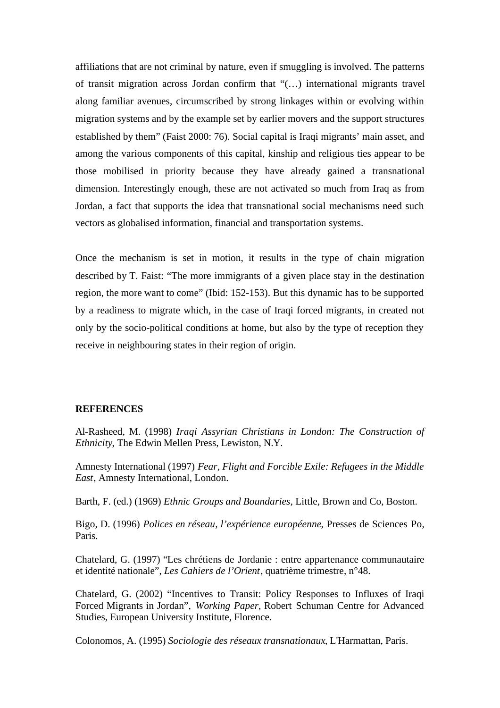affiliations that are not criminal by nature, even if smuggling is involved. The patterns of transit migration across Jordan confirm that "(…) international migrants travel along familiar avenues, circumscribed by strong linkages within or evolving within migration systems and by the example set by earlier movers and the support structures established by them" (Faist 2000: 76). Social capital is Iraqi migrants' main asset, and among the various components of this capital, kinship and religious ties appear to be those mobilised in priority because they have already gained a transnational dimension. Interestingly enough, these are not activated so much from Iraq as from Jordan, a fact that supports the idea that transnational social mechanisms need such vectors as globalised information, financial and transportation systems.

Once the mechanism is set in motion, it results in the type of chain migration described by T. Faist: "The more immigrants of a given place stay in the destination region, the more want to come" (Ibid: 152-153). But this dynamic has to be supported by a readiness to migrate which, in the case of Iraqi forced migrants, in created not only by the socio-political conditions at home, but also by the type of reception they receive in neighbouring states in their region of origin.

# **REFERENCES**

Al-Rasheed, M. (1998) *Iraqi Assyrian Christians in London: The Construction of Ethnicity*, The Edwin Mellen Press, Lewiston, N.Y.

Amnesty International (1997) *Fear, Flight and Forcible Exile: Refugees in the Middle East*, Amnesty International, London.

Barth, F. (ed.) (1969) *Ethnic Groups and Boundaries*, Little, Brown and Co, Boston.

Bigo, D. (1996) *Polices en réseau, l'expérience européenne*, Presses de Sciences Po, Paris.

Chatelard, G. (1997) "Les chrétiens de Jordanie : entre appartenance communautaire et identité nationale", *Les Cahiers de l'Orient*, quatrième trimestre, n°48.

Chatelard, G. (2002) "Incentives to Transit: Policy Responses to Influxes of Iraqi Forced Migrants in Jordan", *Working Paper*, Robert Schuman Centre for Advanced Studies, European University Institute, Florence.

Colonomos, A. (1995) *Sociologie des réseaux transnationaux*, L'Harmattan, Paris.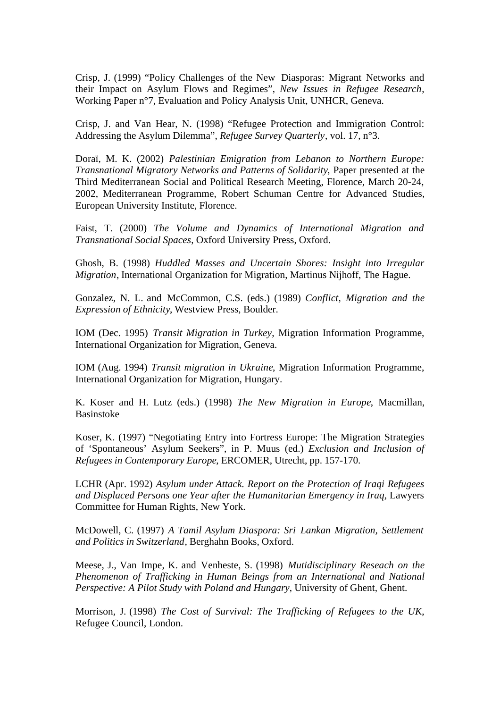Crisp, J. (1999) "Policy Challenges of the New Diasporas: Migrant Networks and their Impact on Asylum Flows and Regimes", *New Issues in Refugee Research*, Working Paper n°7, Evaluation and Policy Analysis Unit, UNHCR, Geneva.

Crisp, J. and Van Hear, N. (1998) "Refugee Protection and Immigration Control: Addressing the Asylum Dilemma", *Refugee Survey Quarterly*, vol. 17, n°3.

Doraï, M. K. (2002) *Palestinian Emigration from Lebanon to Northern Europe: Transnational Migratory Networks and Patterns of Solidarity*, Paper presented at the Third Mediterranean Social and Political Research Meeting, Florence, March 20-24, 2002, Mediterranean Programme, Robert Schuman Centre for Advanced Studies, European University Institute, Florence.

Faist, T. (2000) *The Volume and Dynamics of International Migration and Transnational Social Spaces*, Oxford University Press, Oxford.

Ghosh, B. (1998) *Huddled Masses and Uncertain Shores: Insight into Irregular Migration*, International Organization for Migration, Martinus Nijhoff, The Hague.

Gonzalez, N. L. and McCommon, C.S. (eds.) (1989) *Conflict, Migration and the Expression of Ethnicity*, Westview Press, Boulder.

IOM (Dec. 1995) *Transit Migration in Turkey*, Migration Information Programme, International Organization for Migration, Geneva.

IOM (Aug. 1994) *Transit migration in Ukraine*, Migration Information Programme, International Organization for Migration, Hungary.

K. Koser and H. Lutz (eds.) (1998) *The New Migration in Europe*, Macmillan, Basinstoke

Koser, K. (1997) "Negotiating Entry into Fortress Europe: The Migration Strategies of 'Spontaneous' Asylum Seekers", in P. Muus (ed.) *Exclusion and Inclusion of Refugees in Contemporary Europe*, ERCOMER, Utrecht, pp. 157-170.

LCHR (Apr. 1992) *Asylum under Attack. Report on the Protection of Iraqi Refugees and Displaced Persons one Year after the Humanitarian Emergency in Iraq*, Lawyers Committee for Human Rights, New York.

McDowell, C. (1997) *A Tamil Asylum Diaspora: Sri Lankan Migration, Settlement and Politics in Switzerland*, Berghahn Books, Oxford.

Meese, J., Van Impe, K. and Venheste, S. (1998) *Mutidisciplinary Reseach on the Phenomenon of Trafficking in Human Beings from an International and National Perspective: A Pilot Study with Poland and Hungary*, University of Ghent, Ghent.

Morrison, J. (1998) *The Cost of Survival: The Trafficking of Refugees to the UK*, Refugee Council, London.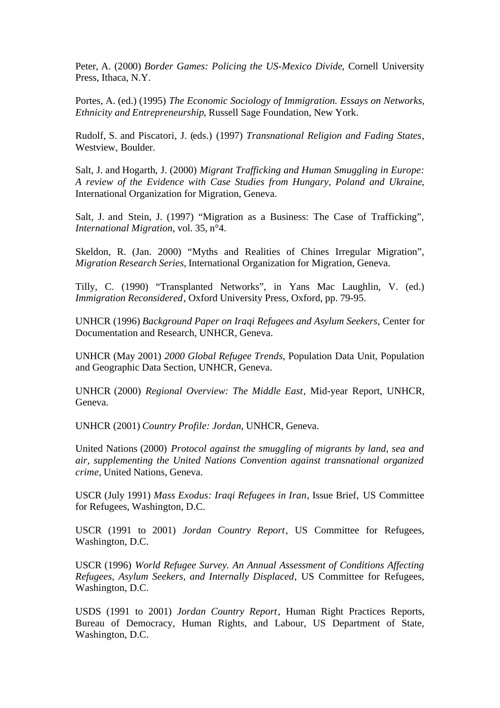Peter, A. (2000) *Border Games: Policing the US-Mexico Divide*, Cornell University Press, Ithaca, N.Y.

Portes, A. (ed.) (1995) *The Economic Sociology of Immigration. Essays on Networks, Ethnicity and Entrepreneurship*, Russell Sage Foundation, New York.

Rudolf, S. and Piscatori, J. (eds.) (1997) *Transnational Religion and Fading States*, Westview, Boulder.

Salt, J. and Hogarth, J. (2000) *Migrant Trafficking and Human Smuggling in Europe: A review of the Evidence with Case Studies from Hungary, Poland and Ukraine*, International Organization for Migration, Geneva.

Salt, J. and Stein, J. (1997) "Migration as a Business: The Case of Trafficking", *International Migration*, vol. 35, n°4.

Skeldon, R. (Jan. 2000) "Myths and Realities of Chines Irregular Migration", *Migration Research Series*, International Organization for Migration, Geneva.

Tilly, C. (1990) "Transplanted Networks", in Yans Mac Laughlin, V. (ed.) *Immigration Reconsidered*, Oxford University Press, Oxford, pp. 79-95.

UNHCR (1996) *Background Paper on Iraqi Refugees and Asylum Seekers*, Center for Documentation and Research, UNHCR, Geneva.

UNHCR (May 2001) *2000 Global Refugee Trends*, Population Data Unit, Population and Geographic Data Section, UNHCR, Geneva.

UNHCR (2000) *Regional Overview: The Middle East*, Mid-year Report, UNHCR, Geneva.

UNHCR (2001) *Country Profile: Jordan*, UNHCR, Geneva.

United Nations (2000) *Protocol against the smuggling of migrants by land, sea and air, supplementing the United Nations Convention against transnational organized crime*, United Nations, Geneva.

USCR (July 1991) *Mass Exodus: Iraqi Refugees in Iran*, Issue Brief, US Committee for Refugees, Washington, D.C.

USCR (1991 to 2001) *Jordan Country Report*, US Committee for Refugees, Washington, D.C.

USCR (1996) *World Refugee Survey. An Annual Assessment of Conditions Affecting Refugees, Asylum Seekers, and Internally Displaced*, US Committee for Refugees, Washington, D.C.

USDS (1991 to 2001) *Jordan Country Report*, Human Right Practices Reports, Bureau of Democracy, Human Rights, and Labour, US Department of State, Washington, D.C.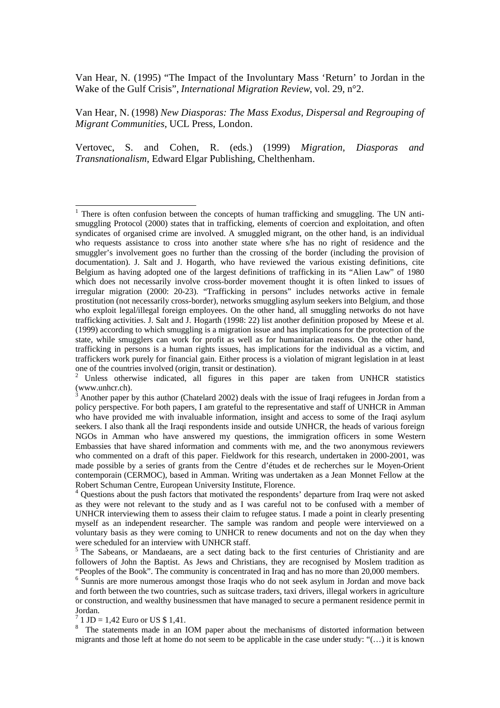Van Hear, N. (1995) "The Impact of the Involuntary Mass 'Return' to Jordan in the Wake of the Gulf Crisis", *International Migration Review*, vol. 29, n°2.

Van Hear, N. (1998) *New Diasporas: The Mass Exodus, Dispersal and Regrouping of Migrant Communities*, UCL Press, London.

Vertovec, S. and Cohen, R. (eds.) (1999) *Migration, Diasporas and Transnationalism*, Edward Elgar Publishing, Chelthenham.

# $7$  1 JD = 1,42 Euro or US \$ 1,41.

l

 $1$  There is often confusion between the concepts of human trafficking and smuggling. The UN antismuggling Protocol (2000) states that in trafficking, elements of coercion and exploitation, and often syndicates of organised crime are involved. A smuggled migrant, on the other hand, is an individual who requests assistance to cross into another state where s/he has no right of residence and the smuggler's involvement goes no further than the crossing of the border (including the provision of documentation). J. Salt and J. Hogarth, who have reviewed the various existing definitions, cite Belgium as having adopted one of the largest definitions of trafficking in its "Alien Law" of 1980 which does not necessarily involve cross-border movement thought it is often linked to issues of irregular migration (2000: 20-23). "Trafficking in persons" includes networks active in female prostitution (not necessarily cross-border), networks smuggling asylum seekers into Belgium, and those who exploit legal/illegal foreign employees. On the other hand, all smuggling networks do not have trafficking activities. J. Salt and J. Hogarth (1998: 22) list another definition proposed by Meese et al. (1999) according to which smuggling is a migration issue and has implications for the protection of the state, while smugglers can work for profit as well as for humanitarian reasons. On the other hand, trafficking in persons is a human rights issues, has implications for the individual as a victim, and traffickers work purely for financial gain. Either process is a violation of migrant legislation in at least one of the countries involved (origin, transit or destination).

<sup>2</sup> Unless otherwise indicated, all figures in this paper are taken from UNHCR statistics (www.unhcr.ch).

<sup>3</sup> Another paper by this author (Chatelard 2002) deals with the issue of Iraqi refugees in Jordan from a policy perspective. For both papers, I am grateful to the representative and staff of UNHCR in Amman who have provided me with invaluable information, insight and access to some of the Iraqi asylum seekers. I also thank all the Iraqi respondents inside and outside UNHCR, the heads of various foreign NGOs in Amman who have answered my questions, the immigration officers in some Western Embassies that have shared information and comments with me, and the two anonymous reviewers who commented on a draft of this paper. Fieldwork for this research, undertaken in 2000-2001, was made possible by a series of grants from the Centre d'études et de recherches sur le Moyen-Orient contemporain (CERMOC), based in Amman. Writing was undertaken as a Jean Monnet Fellow at the Robert Schuman Centre, European University Institute, Florence.

<sup>&</sup>lt;sup>4</sup> Questions about the push factors that motivated the respondents' departure from Iraq were not asked as they were not relevant to the study and as I was careful not to be confused with a member of UNHCR interviewing them to assess their claim to refugee status. I made a point in clearly presenting myself as an independent researcher. The sample was random and people were interviewed on a voluntary basis as they were coming to UNHCR to renew documents and not on the day when they were scheduled for an interview with UNHCR staff.

<sup>&</sup>lt;sup>5</sup> The Sabeans, or Mandaeans, are a sect dating back to the first centuries of Christianity and are followers of John the Baptist. As Jews and Christians, they are recognised by Moslem tradition as "Peoples of the Book". The community is concentrated in Iraq and has no more than 20,000 members.

<sup>&</sup>lt;sup>6</sup> Sunnis are more numerous amongst those Iraqis who do not seek asylum in Jordan and move back and forth between the two countries, such as suitcase traders, taxi drivers, illegal workers in agriculture or construction, and wealthy businessmen that have managed to secure a permanent residence permit in Jordan.

<sup>&</sup>lt;sup>8</sup> The statements made in an IOM paper about the mechanisms of distorted information between migrants and those left at home do not seem to be applicable in the case under study: "(…) it is known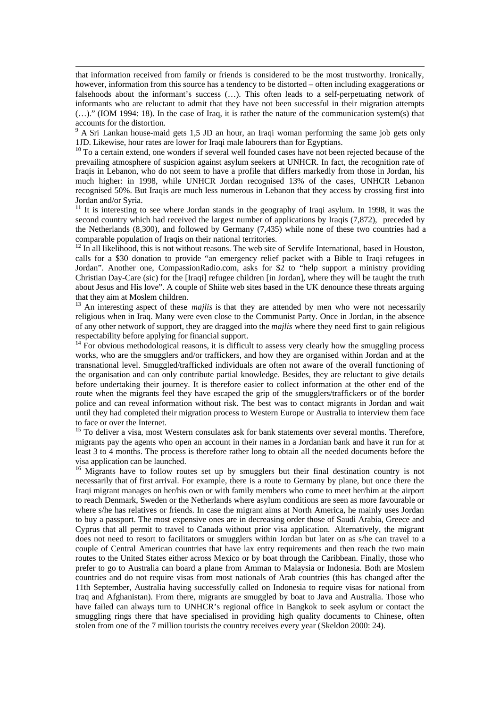that information received from family or friends is considered to be the most trustworthy. Ironically, however, information from this source has a tendency to be distorted – often including exaggerations or falsehoods about the informant's success (…). This often leads to a self-perpetuating network of informants who are reluctant to admit that they have not been successful in their migration attempts  $(...)$ ." (IOM 1994: 18). In the case of Iraq, it is rather the nature of the communication system(s) that accounts for the distortion.

l

<sup>9</sup> A Sri Lankan house-maid gets 1,5 JD an hour, an Iraqi woman performing the same job gets only 1JD. Likewise, hour rates are lower for Iraqi male labourers than for Egyptians.

<sup>10</sup> To a certain extend, one wonders if several well founded cases have not been rejected because of the prevailing atmosphere of suspicion against asylum seekers at UNHCR. In fact, the recognition rate of Iraqis in Lebanon, who do not seem to have a profile that differs markedly from those in Jordan, his much higher: in 1998, while UNHCR Jordan recognised 13% of the cases, UNHCR Lebanon recognised 50%. But Iraqis are much less numerous in Lebanon that they access by crossing first into Jordan and/or Syria.

 $11$  It is interesting to see where Jordan stands in the geography of Iraqi asylum. In 1998, it was the second country which had received the largest number of applications by Iraqis (7,872), preceded by the Netherlands (8,300), and followed by Germany (7,435) while none of these two countries had a comparable population of Iraqis on their national territories.

 $12$  In all likelihood, this is not without reasons. The web site of Servlife International, based in Houston, calls for a \$30 donation to provide "an emergency relief packet with a Bible to Iraqi refugees in Jordan". Another one, CompassionRadio.com, asks for \$2 to "help support a ministry providing Christian Day-Care (sic) for the [Iraqi] refugee children [in Jordan], where they will be taught the truth about Jesus and His love". A couple of Shiite web sites based in the UK denounce these threats arguing that they aim at Moslem children.

<sup>13</sup> An interesting aspect of these *majlis* is that they are attended by men who were not necessarily religious when in Iraq. Many were even close to the Communist Party. Once in Jordan, in the absence of any other network of support, they are dragged into the *majlis* where they need first to gain religious respectability before applying for financial support.

<sup>14</sup> For obvious methodological reasons, it is difficult to assess very clearly how the smuggling process works, who are the smugglers and/or traffickers, and how they are organised within Jordan and at the transnational level. Smuggled/trafficked individuals are often not aware of the overall functioning of the organisation and can only contribute partial knowledge. Besides, they are reluctant to give details before undertaking their journey. It is therefore easier to collect information at the other end of the route when the migrants feel they have escaped the grip of the smugglers/traffickers or of the border police and can reveal information without risk. The best was to contact migrants in Jordan and wait until they had completed their migration process to Western Europe or Australia to interview them face to face or over the Internet.

<sup>15</sup> To deliver a visa, most Western consulates ask for bank statements over several months. Therefore, migrants pay the agents who open an account in their names in a Jordanian bank and have it run for at least 3 to 4 months. The process is therefore rather long to obtain all the needed documents before the visa application can be launched.

<sup>16</sup> Migrants have to follow routes set up by smugglers but their final destination country is not necessarily that of first arrival. For example, there is a route to Germany by plane, but once there the Iraqi migrant manages on her/his own or with family members who come to meet her/him at the airport to reach Denmark, Sweden or the Netherlands where asylum conditions are seen as more favourable or where s/he has relatives or friends. In case the migrant aims at North America, he mainly uses Jordan to buy a passport. The most expensive ones are in decreasing order those of Saudi Arabia, Greece and Cyprus that all permit to travel to Canada without prior visa application. Alternatively, the migrant does not need to resort to facilitators or smugglers within Jordan but later on as s/he can travel to a couple of Central American countries that have lax entry requirements and then reach the two main routes to the United States either across Mexico or by boat through the Caribbean. Finally, those who prefer to go to Australia can board a plane from Amman to Malaysia or Indonesia. Both are Moslem countries and do not require visas from most nationals of Arab countries (this has changed after the 11th September, Australia having successfully called on Indonesia to require visas for national from Iraq and Afghanistan). From there, migrants are smuggled by boat to Java and Australia. Those who have failed can always turn to UNHCR's regional office in Bangkok to seek asylum or contact the smuggling rings there that have specialised in providing high quality documents to Chinese, often stolen from one of the 7 million tourists the country receives every year (Skeldon 2000: 24).